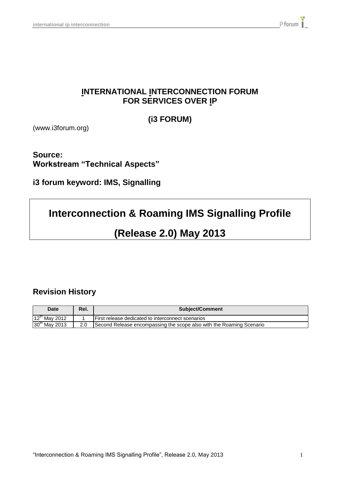## **INTERNATIONAL INTERCONNECTION FORUM FOR SERVICES OVER IP**

**(i3 FORUM)**

(www.i3forum.org)

**Source: Workstream "Technical Aspects"**

**i3 forum keyword: IMS, Signalling**

# **Interconnection & Roaming IMS Signalling Profile**

# **(Release 2.0) May 2013**

## **Revision History**

| <b>Date</b>               | Rel. | <b>Subject/Comment</b>                                               |  |  |  |
|---------------------------|------|----------------------------------------------------------------------|--|--|--|
| $12^{th}$ May 2012        |      | l First release dedicated to interconnect scenarios                  |  |  |  |
| 30 <sup>th</sup> May 2013 | 2.0  | Second Release encompassing the scope also with the Roaming Scenario |  |  |  |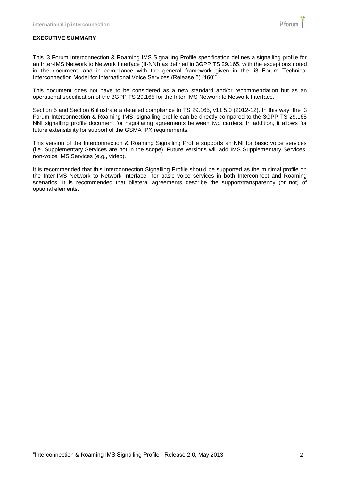#### **EXECUTIVE SUMMARY**

This i3 Forum Interconnection & Roaming IMS Signalling Profile specification defines a signalling profile for an Inter-IMS Network to Network Interface (II-NNI) as defined in 3GPP TS 29.165, with the exceptions noted in the document, and in compliance with the general framework given in the "i3 Forum Technical Interconnection Model for International Voice Services (Release 5) [160]".

This document does not have to be considered as a new standard and/or recommendation but as an operational specification of the 3GPP TS 29.165 for the Inter-IMS Network to Network Interface.

Section 5 and Section 6 illustrate a detailed compliance to TS 29.165, v11.5.0 (2012-12). In this way, the i3 Forum Interconnection & Roaming IMS signalling profile can be directly compared to the 3GPP TS 29.165 NNI signalling profile document for negotiating agreements between two carriers. In addition, it allows for future extensibility for support of the GSMA IPX requirements.

This version of the Interconnection & Roaming Signalling Profile supports an NNI for basic voice services (i.e. Supplementary Services are not in the scope). Future versions will add IMS Supplementary Services, non-voice IMS Services (e.g., video).

It is recommended that this Interconnection Signalling Profile should be supported as the minimal profile on the Inter-IMS Network to Network Interface for basic voice services in both Interconnect and Roaming scenarios. It is recommended that bilateral agreements describe the support/transparency (or not) of optional elements.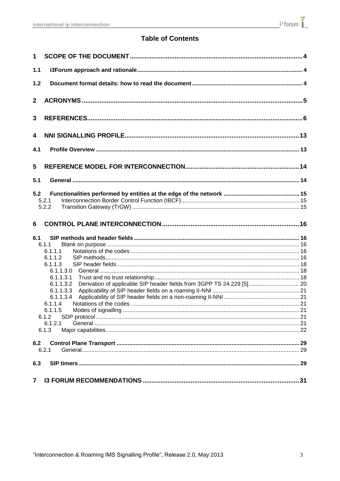## **Table of Contents**

| $\mathbf 1$  |                                                                                                                                                                                                                                     |  |
|--------------|-------------------------------------------------------------------------------------------------------------------------------------------------------------------------------------------------------------------------------------|--|
| $1.1$        |                                                                                                                                                                                                                                     |  |
| $1.2$        |                                                                                                                                                                                                                                     |  |
| $\mathbf{2}$ |                                                                                                                                                                                                                                     |  |
| 3            |                                                                                                                                                                                                                                     |  |
| 4            |                                                                                                                                                                                                                                     |  |
| 4.1          |                                                                                                                                                                                                                                     |  |
| 5            |                                                                                                                                                                                                                                     |  |
| 5.1          |                                                                                                                                                                                                                                     |  |
| 5.2          | 5.2.1<br>5.2.2                                                                                                                                                                                                                      |  |
|              |                                                                                                                                                                                                                                     |  |
| 6            |                                                                                                                                                                                                                                     |  |
| 6.1          | 6.1.1<br>6.1.1.1<br>6.1.1.2<br>6.1.1.3<br>6.1.1.3.0<br>6.1.1.3.1<br>Derivation of applicable SIP header fields from 3GPP TS 24.229 [5] 20<br>6.1.1.3.2<br>6.1.1.3.3<br>6.1.1.3.4<br>6.1.1.4<br>6.1.1.5<br>6.1.2<br>6.1.2.1<br>6.1.3 |  |
| 6.2          |                                                                                                                                                                                                                                     |  |
|              | 6.2.1                                                                                                                                                                                                                               |  |
| 6.3          |                                                                                                                                                                                                                                     |  |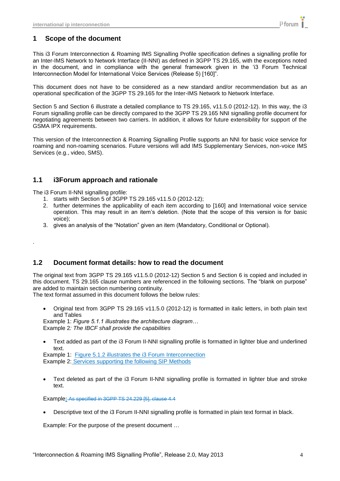## <span id="page-3-0"></span>**1 Scope of the document**

This i3 Forum Interconnection & Roaming IMS Signalling Profile specification defines a signalling profile for an Inter-IMS Network to Network Interface (II-NNI) as defined in 3GPP TS 29.165, with the exceptions noted in the document, and in compliance with the general framework given in the "i3 Forum Technical Interconnection Model for International Voice Services (Release 5) [160]".

This document does not have to be considered as a new standard and/or recommendation but as an operational specification of the 3GPP TS 29.165 for the Inter-IMS Network to Network Interface.

Section 5 and Section 6 illustrate a detailed compliance to TS 29.165, v11.5.0 (2012-12). In this way, the i3 Forum signalling profile can be directly compared to the 3GPP TS 29.165 NNI signalling profile document for negotiating agreements between two carriers. In addition, it allows for future extensibility for support of the GSMA IPX requirements.

This version of the Interconnection & Roaming Signalling Profile supports an NNI for basic voice service for roaming and non-roaming scenarios. Future versions will add IMS Supplementary Services, non-voice IMS Services (e.g., video, SMS).

### <span id="page-3-1"></span>**1.1 i3Forum approach and rationale**

The i3 Forum II-NNI signalling profile:

<span id="page-3-2"></span>.

- 1. starts with Section 5 of 3GPP TS 29.165 v11.5.0 (2012-12);
- 2. further determines the applicability of each item according to [160] and International voice service operation. This may result in an item"s deletion. (Note that the scope of this version is for basic voice);
- 3. gives an analysis of the "Notation" given an item (Mandatory, Conditional or Optional).

### **1.2 Document format details: how to read the document**

The original text from 3GPP TS 29.165 v11.5.0 (2012-12) Section 5 and Section 6 is copied and included in this document. TS 29.165 clause numbers are referenced in the following sections. The "blank on purpose" are added to maintain section numbering continuity.

The text format assumed in this document follows the below rules:

 Original text from 3GPP TS 29.165 v11.5.0 (2012-12) is formatted in italic letters, in both plain text and Tables

Example 1: *Figure 5.1.1 illustrates the architecture diagram…* Example 2*: The IBCF shall provide the capabilities*

 Text added as part of the i3 Forum II-NNI signalling profile is formatted in lighter blue and underlined text.

Example 1: Figure 5.1.2 illustrates the i3 Forum Interconnection Example 2: Services supporting the following SIP Methods

 Text deleted as part of the i3 Forum II-NNI signalling profile is formatted in lighter blue and stroke text.

Example**:** As specified in 3GPP TS 24.229 [5], clause 4.4

Descriptive text of the i3 Forum II-NNI signalling profile is formatted in plain text format in black.

Example: For the purpose of the present document …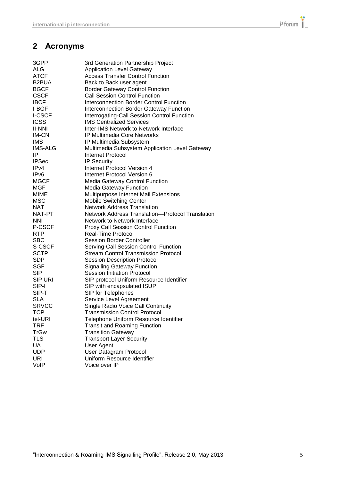## <span id="page-4-0"></span>**2 Acronyms**

| 3GPP               | 3rd Generation Partnership Project               |
|--------------------|--------------------------------------------------|
| <b>ALG</b>         | <b>Application Level Gateway</b>                 |
| ATCF               | <b>Access Transfer Control Function</b>          |
| B <sub>2</sub> BUA | Back to Back user agent                          |
| <b>BGCF</b>        | <b>Border Gateway Control Function</b>           |
| <b>CSCF</b>        | <b>Call Session Control Function</b>             |
| <b>IBCF</b>        | Interconnection Border Control Function          |
| I-BGF              | <b>Interconnection Border Gateway Function</b>   |
| <b>I-CSCF</b>      | Interrogating-Call Session Control Function      |
| <b>ICSS</b>        | <b>IMS Centralized Services</b>                  |
| <b>II-NNI</b>      | Inter-IMS Network to Network Interface           |
| <b>IM-CN</b>       | <b>IP Multimedia Core Networks</b>               |
| <b>IMS</b>         | IP Multimedia Subsystem                          |
| <b>IMS-ALG</b>     | Multimedia Subsystem Application Level Gateway   |
| IP                 | Internet Protocol                                |
| <b>IPSec</b>       | <b>IP Security</b>                               |
| IPv4               | Internet Protocol Version 4                      |
| IP <sub>v6</sub>   | Internet Protocol Version 6                      |
| <b>MGCF</b>        | Media Gateway Control Function                   |
| MGF                | <b>Media Gateway Function</b>                    |
| MIME               | Multipurpose Internet Mail Extensions            |
| <b>MSC</b>         | <b>Mobile Switching Center</b>                   |
| NAT                | <b>Network Address Translation</b>               |
| NAT-PT             | Network Address Translation-Protocol Translation |
| <b>NNI</b>         | Network to Network Interface                     |
| P-CSCF             | <b>Proxy Call Session Control Function</b>       |
| <b>RTP</b>         | Real-Time Protocol                               |
| SBC                | <b>Session Border Controller</b>                 |
| S-CSCF             | Serving-Call Session Control Function            |
| <b>SCTP</b>        | <b>Stream Control Transmission Protocol</b>      |
| <b>SDP</b>         | <b>Session Description Protocol</b>              |
| <b>SGF</b>         | <b>Signalling Gateway Function</b>               |
| <b>SIP</b>         | <b>Session Initiation Protocol</b>               |
| <b>SIP URI</b>     | SIP protocol Uniform Resource Identifier         |
| SIP-I              | SIP with encapsulated ISUP                       |
| SIP-T              | SIP for Telephones                               |
| <b>SLA</b>         | Service Level Agreement                          |
| <b>SRVCC</b>       | Single Radio Voice Call Continuity               |
| TCP                | <b>Transmission Control Protocol</b>             |
| tel-URI            | Telephone Uniform Resource Identifier            |
| TRF                | <b>Transit and Roaming Function</b>              |
| <b>TrGw</b>        | <b>Transition Gateway</b>                        |
| <b>TLS</b>         | <b>Transport Layer Security</b>                  |
| UA                 | <b>User Agent</b>                                |
| <b>UDP</b>         | <b>User Datagram Protocol</b>                    |
| URI                | Uniform Resource Identifier                      |
| VoIP               | Voice over IP                                    |
|                    |                                                  |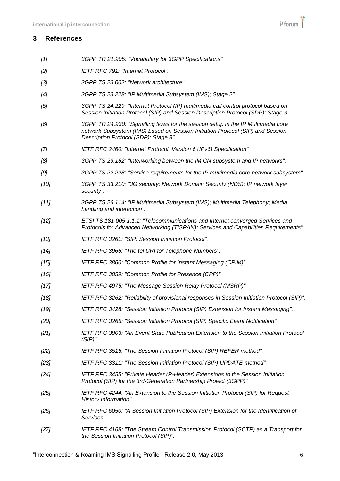- <span id="page-5-0"></span>*[1] 3GPP TR 21.905: "Vocabulary for 3GPP Specifications".*
- *[2] IETF RFC 791: "Internet Protocol".*
- *[3] 3GPP TS 23.002: "Network architecture".*
- *[4] 3GPP TS 23.228: "IP Multimedia Subsystem (IMS); Stage 2".*
- *[5] 3GPP TS 24.229: "Internet Protocol (IP) multimedia call control protocol based on Session Initiation Protocol (SIP) and Session Description Protocol (SDP); Stage 3".*
- *[6] 3GPP TR 24.930: "Signalling flows for the session setup in the IP Multimedia core network Subsystem (IMS) based on Session Initiation Protocol (SIP) and Session Description Protocol (SDP); Stage 3".*
- *[7] IETF RFC 2460: "Internet Protocol, Version 6 (IPv6) Specification".*
- *[8] 3GPP TS 29.162: "Interworking between the IM CN subsystem and IP networks".*
- *[9] 3GPP TS 22.228: "Service requirements for the IP multimedia core network subsystem".*
- *[10] 3GPP TS 33.210: "3G security; Network Domain Security (NDS); IP network layer security".*
- *[11] 3GPP TS 26.114: "IP Multimedia Subsystem (IMS); Multimedia Telephony; Media handling and interaction".*
- *[12] ETSI TS 181 005 1.1.1: "Telecommunications and Internet converged Services and Protocols for Advanced Networking (TISPAN); Services and Capabilities Requirements".*
- *[13] IETF RFC 3261: "SIP: Session Initiation Protocol".*
- *[14] IETF RFC 3966: "The tel URI for Telephone Numbers".*
- *[15] IETF RFC 3860: "Common Profile for Instant Messaging (CPIM)".*
- *[16] IETF RFC 3859: "Common Profile for Presence (CPP)".*
- *[17] IETF RFC 4975: "The Message Session Relay Protocol (MSRP)".*
- *[18] IETF RFC 3262: "Reliability of provisional responses in Session Initiation Protocol (SIP)".*
- *[19] IETF RFC 3428: "Session Initiation Protocol (SIP) Extension for Instant Messaging".*
- *[20] IETF RFC 3265: "Session Initiation Protocol (SIP) Specific Event Notification".*
- *[21] IETF RFC 3903: "An Event State Publication Extension to the Session Initiation Protocol (SIP)".*
- *[22] IETF RFC 3515: "The Session Initiation Protocol (SIP) REFER method".*
- *[23] IETF RFC 3311: "The Session Initiation Protocol (SIP) UPDATE method".*
- *[24] IETF RFC 3455: "Private Header (P-Header) Extensions to the Session Initiation Protocol (SIP) for the 3rd-Generation Partnership Project (3GPP)".*
- *[25] IETF RFC 4244: "An Extension to the Session Initiation Protocol (SIP) for Request History Information".*
- *[26] IETF RFC 6050: "A Session Initiation Protocol (SIP) Extension for the Identification of Services".*
- *[27] IETF RFC 4168: "The Stream Control Transmission Protocol (SCTP) as a Transport for the Session Initiation Protocol (SIP)".*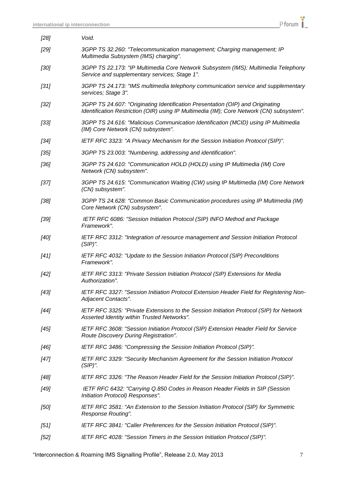| [28]   | Void.                                                                                                                                                                      |
|--------|----------------------------------------------------------------------------------------------------------------------------------------------------------------------------|
| $[29]$ | 3GPP TS 32.260: "Telecommunication management; Charging management; IP<br>Multimedia Subsystem (IMS) charging".                                                            |
| [30]   | 3GPP TS 22.173: "IP Multimedia Core Network Subsystem (IMS); Multimedia Telephony<br>Service and supplementary services; Stage 1".                                         |
| $[31]$ | 3GPP TS 24.173: "IMS multimedia telephony communication service and supplementary<br>services; Stage 3".                                                                   |
| $[32]$ | 3GPP TS 24.607: "Originating Identification Presentation (OIP) and Originating<br>Identification Restriction (OIR) using IP Multimedia (IM); Core Network (CN) subsystem". |
| [33]   | 3GPP TS 24.616: "Malicious Communication Identification (MCID) using IP Multimedia<br>(IM) Core Network (CN) subsystem".                                                   |
| [34]   | IETF RFC 3323: "A Privacy Mechanism for the Session Initiation Protocol (SIP)".                                                                                            |
| [35]   | 3GPP TS 23.003: "Numbering, addressing and identification".                                                                                                                |
| [36]   | 3GPP TS 24.610: "Communication HOLD (HOLD) using IP Multimedia (IM) Core<br>Network (CN) subsystem".                                                                       |
| $[37]$ | 3GPP TS 24.615: "Communication Waiting (CW) using IP Multimedia (IM) Core Network<br>(CN) subsystem".                                                                      |
| [38]   | 3GPP TS 24.628: "Common Basic Communication procedures using IP Multimedia (IM)<br>Core Network (CN) subsystem".                                                           |
| [39]   | IETF RFC 6086: "Session Initiation Protocol (SIP) INFO Method and Package<br>Framework".                                                                                   |
| [40]   | IETF RFC 3312: "Integration of resource management and Session Initiation Protocol<br>$(SIP)$ ".                                                                           |
| $[41]$ | IETF RFC 4032: "Update to the Session Initiation Protocol (SIP) Preconditions<br>Framework".                                                                               |
| $[42]$ | IETF RFC 3313: "Private Session Initiation Protocol (SIP) Extensions for Media<br>Authorization".                                                                          |
| $[43]$ | IETF RFC 3327: "Session Initiation Protocol Extension Header Field for Registering Non-<br>Adjacent Contacts".                                                             |
| $[44]$ | IETF RFC 3325: "Private Extensions to the Session Initiation Protocol (SIP) for Network<br>Asserted Identity within Trusted Networks".                                     |
| [45]   | IETF RFC 3608: "Session Initiation Protocol (SIP) Extension Header Field for Service<br>Route Discovery During Registration".                                              |
| $[46]$ | IETF RFC 3486: "Compressing the Session Initiation Protocol (SIP)".                                                                                                        |
| $[47]$ | IETF RFC 3329: "Security Mechanism Agreement for the Session Initiation Protocol<br>$(SIP)$ ".                                                                             |
| [48]   | IETF RFC 3326: "The Reason Header Field for the Session Initiation Protocol (SIP)".                                                                                        |
| [49]   | IETF RFC 6432: "Carrying Q.850 Codes in Reason Header Fields in SIP (Session<br>Initiation Protocol) Responses".                                                           |
| [50]   | IETF RFC 3581: "An Extension to the Session Initiation Protocol (SIP) for Symmetric<br>Response Routing".                                                                  |
| $[51]$ | IETF RFC 3841: "Caller Preferences for the Session Initiation Protocol (SIP)".                                                                                             |
| $[52]$ | IETF RFC 4028: "Session Timers in the Session Initiation Protocol (SIP)".                                                                                                  |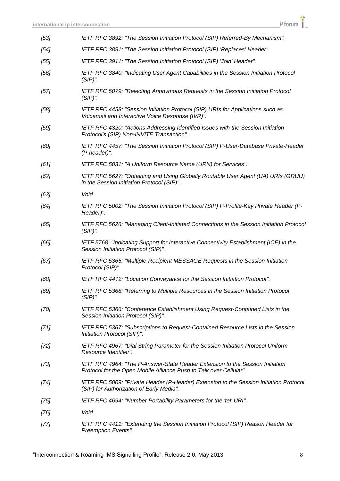| [53]   | IETF RFC 3892: "The Session Initiation Protocol (SIP) Referred-By Mechanism".                                                                       |
|--------|-----------------------------------------------------------------------------------------------------------------------------------------------------|
| $[54]$ | IETF RFC 3891: "The Session Initiation Protocol (SIP) 'Replaces' Header".                                                                           |
| [55]   | IETF RFC 3911: "The Session Initiation Protocol (SIP) 'Join' Header".                                                                               |
| $[56]$ | IETF RFC 3840: "Indicating User Agent Capabilities in the Session Initiation Protocol<br>$(SIP)$ ".                                                 |
| [57]   | IETF RFC 5079: "Rejecting Anonymous Requests in the Session Initiation Protocol<br>$(SIP)$ ".                                                       |
| [58]   | IETF RFC 4458: "Session Initiation Protocol (SIP) URIs for Applications such as<br>Voicemail and Interactive Voice Response (IVR)".                 |
| [59]   | IETF RFC 4320: "Actions Addressing Identified Issues with the Session Initiation<br>Protocol's (SIP) Non-INVITE Transaction".                       |
| [60]   | IETF RFC 4457: "The Session Initiation Protocol (SIP) P-User-Database Private-Header<br>(P-header)".                                                |
| [61]   | IETF RFC 5031: "A Uniform Resource Name (URN) for Services".                                                                                        |
| [62]   | IETF RFC 5627: "Obtaining and Using Globally Routable User Agent (UA) URIs (GRUU)<br>in the Session Initiation Protocol (SIP)".                     |
| [63]   | Void                                                                                                                                                |
| [64]   | IETF RFC 5002: "The Session Initiation Protocol (SIP) P-Profile-Key Private Header (P-<br>Header)".                                                 |
| [65]   | IETF RFC 5626: "Managing Client-Initiated Connections in the Session Initiation Protocol<br>$(SIP)$ ".                                              |
| [66]   | IETF 5768: "Indicating Support for Interactive Connectivity Establishment (ICE) in the<br>Session Initiation Protocol (SIP)".                       |
| [67]   | IETF RFC 5365: "Multiple-Recipient MESSAGE Requests in the Session Initiation<br>Protocol (SIP)".                                                   |
| [68]   | IETF RFC 4412: "Location Conveyance for the Session Initiation Protocol".                                                                           |
| [69]   | IETF RFC 5368: "Referring to Multiple Resources in the Session Initiation Protocol<br>$(SIP)$ ".                                                    |
| $[70]$ | IETF RFC 5366: "Conference Establishment Using Request-Contained Lists in the<br>Session Initiation Protocol (SIP)".                                |
| $[71]$ | IETF RFC 5367: "Subscriptions to Request-Contained Resource Lists in the Session<br>Initiation Protocol (SIP)".                                     |
| $[72]$ | IETF RFC 4967: "Dial String Parameter for the Session Initiation Protocol Uniform<br>Resource Identifier".                                          |
| $[73]$ | IETF RFC 4964: "The P-Answer-State Header Extension to the Session Initiation<br>Protocol for the Open Mobile Alliance Push to Talk over Cellular". |
| $[74]$ | IETF RFC 5009: "Private Header (P-Header) Extension to the Session Initiation Protocol<br>(SIP) for Authorization of Early Media".                  |
| [75]   | IETF RFC 4694: "Number Portability Parameters for the 'tel' URI".                                                                                   |
| $[76]$ | Void                                                                                                                                                |
| $[77]$ | IETF RFC 4411: "Extending the Session Initiation Protocol (SIP) Reason Header for<br>Preemption Events".                                            |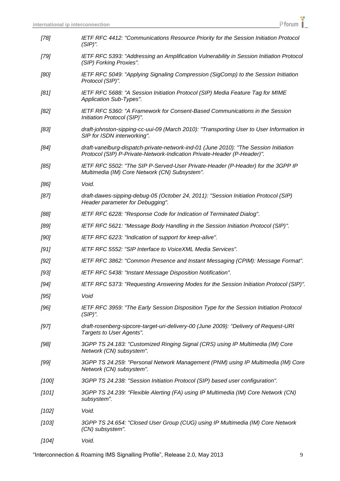| $[78]$  | IETF RFC 4412: "Communications Resource Priority for the Session Initiation Protocol<br>$(SIP)$ ".                                                              |
|---------|-----------------------------------------------------------------------------------------------------------------------------------------------------------------|
| [79]    | IETF RFC 5393: "Addressing an Amplification Vulnerability in Session Initiation Protocol<br>(SIP) Forking Proxies".                                             |
| [80]    | IETF RFC 5049: "Applying Signaling Compression (SigComp) to the Session Initiation<br>Protocol (SIP)".                                                          |
| [81]    | IETF RFC 5688: "A Session Initiation Protocol (SIP) Media Feature Tag for MIME<br>Application Sub-Types".                                                       |
| [82]    | IETF RFC 5360: "A Framework for Consent-Based Communications in the Session<br>Initiation Protocol (SIP)".                                                      |
| [83]    | draft-johnston-sipping-cc-uui-09 (March 2010): "Transporting User to User Information in<br>SIP for ISDN interworking".                                         |
| [84]    | draft-vanelburg-dispatch-private-network-ind-01 (June 2010): "The Session Initiation<br>Protocol (SIP) P-Private-Network-Indication Private-Header (P-Header)". |
| [85]    | IETF RFC 5502: "The SIP P-Served-User Private-Header (P-Header) for the 3GPP IP<br>Multimedia (IM) Core Network (CN) Subsystem".                                |
| [86]    | Void.                                                                                                                                                           |
| [87]    | draft-dawes-sipping-debug-05 (October 24, 2011): "Session Initiation Protocol (SIP)<br>Header parameter for Debugging".                                         |
| [88]    | IETF RFC 6228: "Response Code for Indication of Terminated Dialog".                                                                                             |
| [89]    | IETF RFC 5621: "Message Body Handling in the Session Initiation Protocol (SIP)".                                                                                |
| [90]    | IETF RFC 6223: "Indication of support for keep-alive".                                                                                                          |
| [91]    | IETF RFC 5552: "SIP Interface to VoiceXML Media Services".                                                                                                      |
| [92]    | IETF RFC 3862: "Common Presence and Instant Messaging (CPIM): Message Format".                                                                                  |
| $[93]$  | IETF RFC 5438: "Instant Message Disposition Notification".                                                                                                      |
| $[94]$  | IETF RFC 5373: "Requesting Answering Modes for the Session Initiation Protocol (SIP)".                                                                          |
| [95]    | Void                                                                                                                                                            |
| [96]    | IETF RFC 3959: "The Early Session Disposition Type for the Session Initiation Protocol<br>$(SIP)$ ".                                                            |
| [97]    | draft-rosenberg-sipcore-target-uri-delivery-00 (June 2009): "Delivery of Request-URI<br>Targets to User Agents".                                                |
| [98]    | 3GPP TS 24.183: "Customized Ringing Signal (CRS) using IP Multimedia (IM) Core<br>Network (CN) subsystem".                                                      |
| [99]    | 3GPP TS 24.259: "Personal Network Management (PNM) using IP Multimedia (IM) Core<br>Network (CN) subsystem".                                                    |
| $[100]$ | 3GPP TS 24.238: "Session Initiation Protocol (SIP) based user configuration".                                                                                   |
| $[101]$ | 3GPP TS 24.239: "Flexible Alerting (FA) using IP Multimedia (IM) Core Network (CN)<br>subsystem".                                                               |
| $[102]$ | Void.                                                                                                                                                           |
| $[103]$ | 3GPP TS 24.654: "Closed User Group (CUG) using IP Multimedia (IM) Core Network<br>(CN) subsystem".                                                              |
| $[104]$ | Void.                                                                                                                                                           |

"Interconnection & Roaming IMS Signalling Profile", Release 2.0, May 2013 9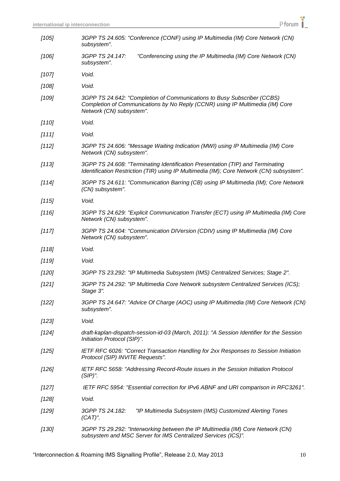| $[105]$ | 3GPP TS 24.605: "Conference (CONF) using IP Multimedia (IM) Core Network (CN)<br>subsystem".                                                                                         |
|---------|--------------------------------------------------------------------------------------------------------------------------------------------------------------------------------------|
| $[106]$ | 3GPP TS 24.147:<br>"Conferencing using the IP Multimedia (IM) Core Network (CN)<br>subsystem".                                                                                       |
| $[107]$ | Void.                                                                                                                                                                                |
| $[108]$ | Void.                                                                                                                                                                                |
| $[109]$ | 3GPP TS 24.642: "Completion of Communications to Busy Subscriber (CCBS)<br>Completion of Communications by No Reply (CCNR) using IP Multimedia (IM) Core<br>Network (CN) subsystem". |
| $[110]$ | Void.                                                                                                                                                                                |
| [111]   | Void.                                                                                                                                                                                |
| [112]   | 3GPP TS 24.606: "Message Waiting Indication (MWI) using IP Multimedia (IM) Core<br>Network (CN) subsystem".                                                                          |
| $[113]$ | 3GPP TS 24.608: "Terminating Identification Presentation (TIP) and Terminating<br>Identification Restriction (TIR) using IP Multimedia (IM); Core Network (CN) subsystem".           |
| $[114]$ | 3GPP TS 24.611: "Communication Barring (CB) using IP Multimedia (IM); Core Network<br>(CN) subsystem".                                                                               |
| [115]   | Void.                                                                                                                                                                                |
| $[116]$ | 3GPP TS 24.629: "Explicit Communication Transfer (ECT) using IP Multimedia (IM) Core<br>Network (CN) subsystem".                                                                     |
| [117]   | 3GPP TS 24.604: "Communication DIVersion (CDIV) using IP Multimedia (IM) Core<br>Network (CN) subsystem".                                                                            |
| $[118]$ | Void.                                                                                                                                                                                |
| $[119]$ | Void.                                                                                                                                                                                |
| $[120]$ | 3GPP TS 23.292: "IP Multimedia Subsystem (IMS) Centralized Services; Stage 2".                                                                                                       |
| $[121]$ | 3GPP TS 24.292: "IP Multimedia Core Network subsystem Centralized Services (ICS);<br>Stage 3".                                                                                       |
| $[122]$ | 3GPP TS 24.647: "Advice Of Charge (AOC) using IP Multimedia (IM) Core Network (CN)<br>subsystem".                                                                                    |
| [123]   | Void.                                                                                                                                                                                |
| $[124]$ | draft-kaplan-dispatch-session-id-03 (March, 2011): "A Session Identifier for the Session<br>Initiation Protocol (SIP)".                                                              |
| [125]   | IETF RFC 6026: "Correct Transaction Handling for 2xx Responses to Session Initiation<br>Protocol (SIP) INVITE Requests".                                                             |
| [126]   | IETF RFC 5658: "Addressing Record-Route issues in the Session Initiation Protocol<br>$(SIP)$ ".                                                                                      |
| $[127]$ | IETF RFC 5954: "Essential correction for IPv6 ABNF and URI comparison in RFC3261".                                                                                                   |
| [128]   | Void.                                                                                                                                                                                |
| [129]   | 3GPP TS 24.182:<br>"IP Multimedia Subsystem (IMS) Customized Alerting Tones<br>$(CAT)$ ".                                                                                            |
| [130]   | 3GPP TS 29.292: "Interworking between the IP Multimedia (IM) Core Network (CN)<br>subsystem and MSC Server for IMS Centralized Services (ICS)".                                      |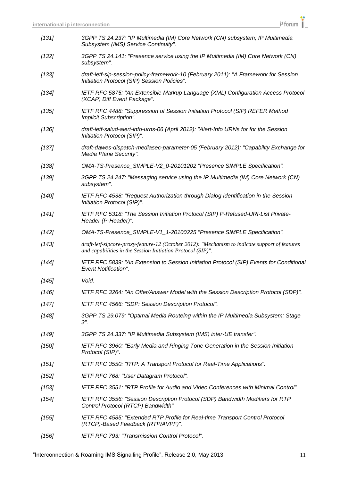| $[131]$ | 3GPP TS 24.237: "IP Multimedia (IM) Core Network (CN) subsystem; IP Multimedia<br>Subsystem (IMS) Service Continuity".                                        |
|---------|---------------------------------------------------------------------------------------------------------------------------------------------------------------|
| $[132]$ | 3GPP TS 24.141: "Presence service using the IP Multimedia (IM) Core Network (CN)<br>subsystem".                                                               |
| [133]   | draft-ietf-sip-session-policy-framework-10 (February 2011): "A Framework for Session<br>Initiation Protocol (SIP) Session Policies".                          |
| $[134]$ | IETF RFC 5875: "An Extensible Markup Language (XML) Configuration Access Protocol<br>(XCAP) Diff Event Package".                                              |
| $[135]$ | IETF RFC 4488: "Suppression of Session Initiation Protocol (SIP) REFER Method<br>Implicit Subscription".                                                      |
| $[136]$ | draft-ietf-salud-alert-info-urns-06 (April 2012): "Alert-Info URNs for for the Session<br>Initiation Protocol (SIP)".                                         |
| $[137]$ | draft-dawes-dispatch-mediasec-parameter-05 (February 2012): "Capability Exchange for<br>Media Plane Security".                                                |
| $[138]$ | OMA-TS-Presence_SIMPLE-V2_0-20101202 "Presence SIMPLE Specification".                                                                                         |
| $[139]$ | 3GPP TS 24.247: "Messaging service using the IP Multimedia (IM) Core Network (CN)<br>subsystem".                                                              |
| $[140]$ | IETF RFC 4538: "Request Authorization through Dialog Identification in the Session<br>Initiation Protocol (SIP)".                                             |
| [141]   | IETF RFC 5318: "The Session Initiation Protocol (SIP) P-Refused-URI-List Private-<br>Header (P-Header)".                                                      |
| $[142]$ | OMA-TS-Presence_SIMPLE-V1_1-20100225 "Presence SIMPLE Specification".                                                                                         |
| $[143]$ | draft-ietf-sipcore-proxy-feature-12 (October 2012): "Mechanism to indicate support of features<br>and capabilities in the Session Initiation Protocol (SIP)". |
| $[144]$ | IETF RFC 5839: "An Extension to Session Initiation Protocol (SIP) Events for Conditional<br><b>Event Notification".</b>                                       |
| $[145]$ | Void.                                                                                                                                                         |
| [146]   | IETF RFC 3264: "An Offer/Answer Model with the Session Description Protocol (SDP)".                                                                           |
| $[147]$ | IETF RFC 4566: "SDP: Session Description Protocol".                                                                                                           |
| $[148]$ | 3GPP TS 29.079: "Optimal Media Routeing within the IP Multimedia Subsystem; Stage<br>$3$ ".                                                                   |
| [149]   | 3GPP TS 24.337: "IP Multimedia Subsystem (IMS) inter-UE transfer".                                                                                            |
| $[150]$ | IETF RFC 3960: "Early Media and Ringing Tone Generation in the Session Initiation<br>Protocol (SIP)".                                                         |
| [151]   | IETF RFC 3550: "RTP: A Transport Protocol for Real-Time Applications".                                                                                        |
| $[152]$ | IETF RFC 768: "User Datagram Protocol".                                                                                                                       |
| [153]   | IETF RFC 3551: "RTP Profile for Audio and Video Conferences with Minimal Control".                                                                            |
| $[154]$ | IETF RFC 3556: "Session Description Protocol (SDP) Bandwidth Modifiers for RTP<br>Control Protocol (RTCP) Bandwidth".                                         |
| [155]   | IETF RFC 4585: "Extended RTP Profile for Real-time Transport Control Protocol<br>(RTCP)-Based Feedback (RTP/AVPF)".                                           |
| $[156]$ | IETF RFC 793: "Transmission Control Protocol".                                                                                                                |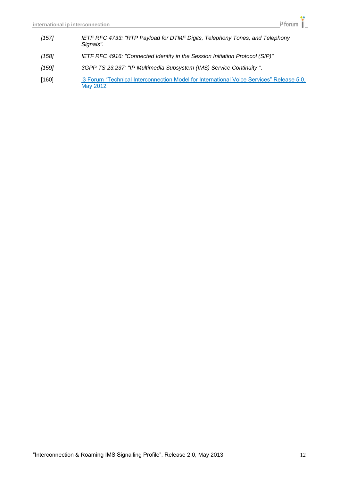- *[157] IETF RFC 4733: "RTP Payload for DTMF Digits, Telephony Tones, and Telephony Signals".*
- *[158] IETF RFC 4916: "Connected Identity in the Session Initiation Protocol (SIP)".*
- *[159] 3GPP TS 23.237: "IP Multimedia Subsystem (IMS) Service Continuity ".*
- [160] i3 Forum "Technical Interconnection Model for International Voice Services" Release 5.0, May 2012"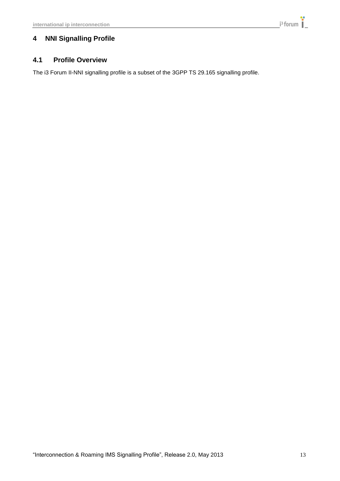## <span id="page-12-1"></span><span id="page-12-0"></span>**4 NNI Signalling Profile**

## **4.1 Profile Overview**

The i3 Forum II-NNI signalling profile is a subset of the 3GPP TS 29.165 signalling profile.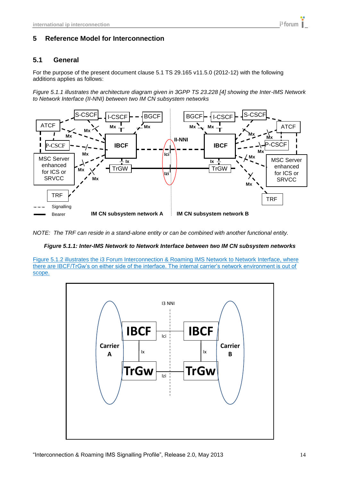## <span id="page-13-1"></span><span id="page-13-0"></span>**5.1 General**

For the purpose of the present document clause 5.1 TS 29.165 v11.5.0 (2012-12) with the following additions applies as follows:

*Figure 5.1.1 illustrates the architecture diagram given in 3GPP TS 23.228 [4] showing the Inter-IMS Network to Network Interface (II-NNI) between two IM CN subsystem networks*



*NOTE: The TRF can reside in a stand-alone entity or can be combined with another functional entity.*

#### *Figure 5.1.1: Inter-IMS Network to Network Interface between two IM CN subsystem networks*

Figure 5.1.2 illustrates the i3 Forum Interconnection & Roaming IMS Network to Network Interface, where there are IBCF/TrGw"s on either side of the interface. The internal carrier"s network environment is out of scope.



i<sup>3</sup> forum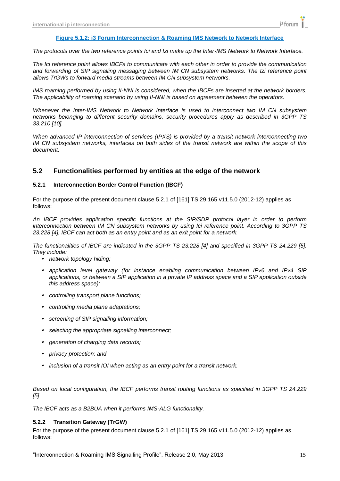#### **Figure 5.1.2: i3 Forum Interconnection & Roaming IMS Network to Network Interface**

*The protocols over the two reference points Ici and Izi make up the Inter-IMS Network to Network Interface.*

*The Ici reference point allows IBCFs to communicate with each other in order to provide the communication and forwarding of SIP signalling messaging between IM CN subsystem networks. The Izi reference point allows TrGWs to forward media streams between IM CN subsystem networks.*

*IMS roaming performed by using II-NNI is considered, when the IBCFs are inserted at the network borders. The applicability of roaming scenario by using II-NNI is based on agreement between the operators.*

*Whenever the Inter-IMS Network to Network Interface is used to interconnect two IM CN subsystem networks belonging to different security domains, security procedures apply as described in 3GPP TS 33.210 [10].* 

*When advanced IP interconnection of services (IPXS) is provided by a transit network interconnecting two IM CN subsystem networks, interfaces on both sides of the transit network are within the scope of this document.*

#### <span id="page-14-0"></span>**5.2 Functionalities performed by entities at the edge of the network**

#### <span id="page-14-1"></span>**5.2.1 Interconnection Border Control Function (IBCF)**

For the purpose of the present document clause 5.2.1 of [161] TS 29.165 v11.5.0 (2012-12) applies as follows:

*An IBCF provides application specific functions at the SIP/SDP protocol layer in order to perform interconnection between IM CN subsystem networks by using Ici reference point. According to 3GPP TS 23.228 [4], IBCF can act both as an entry point and as an exit point for a network.*

*The functionalities of IBCF are indicated in the 3GPP TS 23.228 [4] and specified in 3GPP TS 24.229 [5]. They include:*

- *network topology hiding;*
- *application level gateway (for instance enabling communication between IPv6 and IPv4 SIP applications, or between a SIP application in a private IP address space and a SIP application outside this address space);*
- *controlling transport plane functions;*
- *controlling media plane adaptations;*
- *screening of SIP signalling information;*
- . *selecting the appropriate signalling interconnect;*
- . *generation of charging data records;*
- *privacy protection; and*
- *inclusion of a transit IOI when acting as an entry point for a transit network.*

*Based on local configuration, the IBCF performs transit routing functions as specified in 3GPP TS 24.229 [5].* 

<span id="page-14-2"></span>*The IBCF acts as a B2BUA when it performs IMS-ALG functionality.*

#### **5.2.2 Transition Gateway (TrGW)**

For the purpose of the present document clause 5.2.1 of [161] TS 29.165 v11.5.0 (2012-12) applies as follows: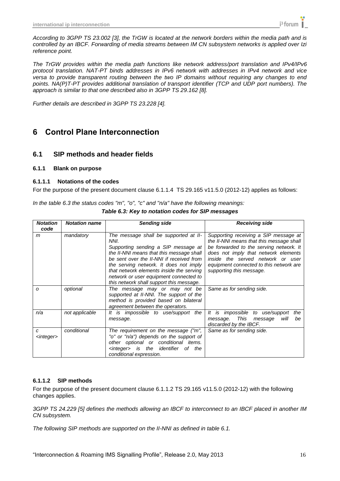*According to 3GPP TS 23.002 [3], the TrGW is located at the network borders within the media path and is controlled by an IBCF. Forwarding of media streams between IM CN subsystem networks is applied over Izi reference point.*

*The TrGW provides within the media path functions like network address/port translation and IPv4/IPv6 protocol translation. NAT-PT binds addresses in IPv6 network with addresses in IPv4 network and vice versa to provide transparent routing between the two IP domains without requiring any changes to end points. NA(P)T-PT provides additional translation of transport identifier (TCP and UDP port numbers). The approach is similar to that one described also in 3GPP TS 29.162 [8].* 

<span id="page-15-0"></span>*Further details are described in 3GPP TS 23.228 [4].*

## **6 Control Plane Interconnection**

### <span id="page-15-1"></span>**6.1 SIP methods and header fields**

#### <span id="page-15-2"></span>**6.1.1 Blank on purpose**

#### <span id="page-15-3"></span>**6.1.1.1 Notations of the codes**

For the purpose of the present document clause 6.1.1.4 TS 29.165 v11.5.0 (2012-12) applies as follows:

*In the table 6.3 the status codes "m", "o", "c" and "n/a" have the following meanings:*

*Table 6.3: Key to notation codes for SIP messages*

| <b>Notation</b><br>code  | <b>Notation name</b> | <b>Sending side</b>                                                                                                                                                                                                                                                                                                                                      | <b>Receiving side</b>                                                                                                                                                                                                                                                            |  |  |
|--------------------------|----------------------|----------------------------------------------------------------------------------------------------------------------------------------------------------------------------------------------------------------------------------------------------------------------------------------------------------------------------------------------------------|----------------------------------------------------------------------------------------------------------------------------------------------------------------------------------------------------------------------------------------------------------------------------------|--|--|
| m                        | mandatory            | The message shall be supported at II-<br>NNI.<br>Supporting sending a SIP message at<br>the II-NNI means that this message shall<br>be sent over the II-NNI if received from<br>the serving network. It does not imply<br>that network elements inside the serving<br>network or user equipment connected to<br>this network shall support this message. | Supporting receiving a SIP message at<br>the II-NNI means that this message shall<br>be forwarded to the serving network. It<br>does not imply that network elements<br>inside the served network or user<br>equipment connected to this network are<br>supporting this message. |  |  |
| $\mathcal{O}$            | optional             | The message may or may not be<br>supported at II-NNI. The support of the<br>method is provided based on bilateral<br>agreement between the operators.                                                                                                                                                                                                    | Same as for sending side.                                                                                                                                                                                                                                                        |  |  |
| n/a                      | not applicable       | It is impossible to use/support the<br>message.                                                                                                                                                                                                                                                                                                          | It is impossible<br>to use/support<br>the<br>This<br>will<br>be<br>message.<br>message<br>discarded by the IBCF.                                                                                                                                                                 |  |  |
| C<br><integer></integer> | conditional          | The requirement on the message ("m",<br>"o" or "n/a") depends on the support of<br>other optional or conditional items.<br><integer> is the identifier<br/>of<br/>the<br/>conditional expression.</integer>                                                                                                                                              | Same as for sending side.                                                                                                                                                                                                                                                        |  |  |

#### <span id="page-15-4"></span>**6.1.1.2 SIP methods**

For the purpose of the present document clause 6.1.1.2 TS 29.165 v11.5.0 (2012-12) with the following changes applies.

*3GPP TS 24.229 [5] defines the methods allowing an IBCF to interconnect to an IBCF placed in another IM CN subsystem.*

*The following SIP methods are supported on the II-NNI as defined in table 6.1.*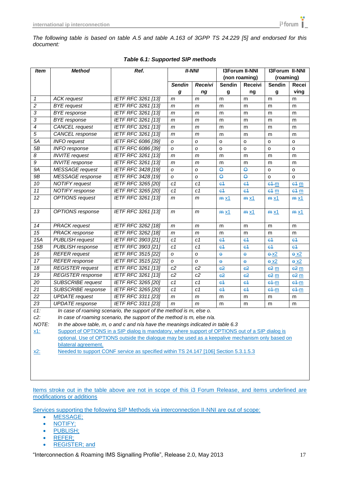| <b>Item</b>              | <b>Method</b>             | Ref.                                                                                             |                  | <b>II-NNI</b>    | <b>I3Forum II-NNI</b>   |                     | <b>I3Forum II-NNI</b>    |                 |
|--------------------------|---------------------------|--------------------------------------------------------------------------------------------------|------------------|------------------|-------------------------|---------------------|--------------------------|-----------------|
|                          |                           |                                                                                                  |                  |                  | (non roaming)           |                     | (roaming)                |                 |
|                          |                           |                                                                                                  | <b>Sendin</b>    | Receivi          | <b>Sendin</b>           | <b>Receivi</b>      | <b>Sendin</b>            | Recei           |
|                          |                           |                                                                                                  | g                | ng               | g                       | ng                  | g                        | ving            |
| 1                        | <b>ACK</b> request        | <b>IETF RFC 3261 [13]</b>                                                                        | m                | m                | m                       | m                   | m                        | m               |
| 2                        | <b>BYE</b> request        | <b>IETF RFC 3261 [13]</b>                                                                        | m                | $\mathsf{m}$     | m                       | m                   | m                        | m               |
| 3                        | <b>BYE</b> response       | <b>IETF RFC 3261 [13]</b>                                                                        | m                | m                | m                       | m                   | m                        | m               |
| 3                        | <b>BYE</b> response       | IETF RFC 3261 [13]                                                                               | m                | m                | m                       | m                   | m                        | m               |
| $\overline{\mathcal{A}}$ | <b>CANCEL</b> request     | <b>IETF RFC 3261 [13]</b>                                                                        | m                | m                | m                       | m                   | m                        | m               |
| 5                        | CANCEL response           | <b>IETF RFC 3261 [13]</b>                                                                        | m                | m                | m                       | m                   | m                        | m               |
| 5A                       | <b>INFO</b> request       | <b>IETF RFC 6086 [39]</b>                                                                        | O                | O                | $\circ$                 | o                   | o                        | o               |
| 5B                       | <b>INFO</b> response      | IETF RFC 6086 [39]                                                                               | O                | O                | o                       | o                   | o                        | o               |
| 8                        | <b>INVITE</b> request     | <b>IETF RFC 3261 [13]</b>                                                                        | m                | m                | m                       | m                   | m                        | m               |
| $\overline{g}$           | <b>INVITE</b> response    | IETF RFC 3261 [13]                                                                               | m                | m                | m                       | m                   | m                        | m               |
| 9A                       | <b>MESSAGE</b> request    | IETF RFC 3428 [19]                                                                               | о                | o                | $\Theta$                | $\Theta$            | o                        | o               |
| 9B                       | <b>MESSAGE</b> response   | <b>IETF RFC 3428 [19]</b>                                                                        | O                | o                | $\overline{\mathbf{e}}$ | $\Theta$            | o                        | o               |
| $\overline{10}$          | <b>NOTIFY</b> request     | IETF RFC 3265 [20]                                                                               | C <sub>1</sub>   | c1               | $64$                    | e <sub>1</sub>      | $e + m$                  | $e4 \text{ m}$  |
| 11                       | <b>NOTIFY</b> response    | <b>IETF RFC 3265 [20]</b>                                                                        | c1               | c1               | e <sub>1</sub>          | e <sup>4</sup>      | e4 m                     | e4 m            |
| 12                       | <b>OPTIONS</b> request    | IETF RFC 3261 [13]                                                                               | m                | m                | $m \times 1$            | $m \times 1$        | $m \times 1$             | $m \times 1$    |
|                          |                           |                                                                                                  |                  |                  |                         |                     |                          |                 |
| 13                       | OPTIONS response          | IETF RFC 3261 [13]                                                                               | m                | m                | $m \times 1$            | $m \times 1$        | $m \times 1$             | $m \times 1$    |
|                          |                           |                                                                                                  |                  |                  |                         |                     |                          |                 |
| 14                       | <b>PRACK</b> request      | IETF RFC 3262 [18]                                                                               | m                | $\mathsf{m}$     | m                       | m                   | m                        | m               |
| $\overline{15}$          | <b>PRACK</b> response     | IETF RFC 3262 [18]                                                                               | m                | m                | m                       | m                   | m                        | m               |
| 15A                      | <b>PUBLISH request</b>    | <b>IETF RFC 3903 [21]</b>                                                                        | C <sub>1</sub>   | C <sub>1</sub>   | $64$                    | $64$                | e <sub>1</sub>           | e <sub>4</sub>  |
| 15B                      | PUBLISH response          | <b>IETF RFC 3903 [21]</b>                                                                        | C <sub>1</sub>   | C <sub>1</sub>   | $64$                    | e <sub>4</sub>      | e <sub>1</sub>           | e <sub>4</sub>  |
| $\overline{16}$          | <b>REFER</b> request      | <b>IETF RFC 3515 [22]</b>                                                                        | $\boldsymbol{o}$ | $\boldsymbol{o}$ | $\ddot{\mathbf{e}}$     | $\ddot{\mathbf{e}}$ | $\frac{\theta - X^2}{2}$ | 6x2             |
| 17                       | <b>REFER</b> response     | <b>IETF RFC 3515 [22]</b>                                                                        | O                | $\mathcal{O}$    | $\ddot{\mathbf{e}}$     | $\ddot{\mathbf{e}}$ | $e^{x2}$                 | 6x2             |
| 18                       | <b>REGISTER</b> request   | <b>IETF RFC 3261 [13]</b>                                                                        | c2               | c2               | 62                      | 62                  | 62 <sub>m</sub>          | $-62$ m         |
| $\overline{19}$          | <b>REGISTER</b> response  | <b>IETF RFC 3261 [13]</b>                                                                        | c2               | c2               | 62                      | 62                  | 62 <sub>m</sub>          | 62 <sub>m</sub> |
| 20                       | <b>SUBSCRIBE</b> request  | IETF RFC 3265 [20]                                                                               | C <sub>1</sub>   | C <sub>1</sub>   | 64                      | c <sub>1</sub>      | $e + m$                  | $e + m$         |
| 21                       | <b>SUBSCRIBE</b> response | IETF RFC 3265 [20]                                                                               | C <sub>1</sub>   | C <sub>1</sub>   | 64                      | e <sub>1</sub>      | $e4-m$                   | $e + m$         |
| 22                       | <b>UPDATE</b> request     | <b>IETF RFC 3311 [23]</b>                                                                        | m                | m                | m                       | m                   | m                        | m               |
| $\overline{23}$          | <b>UPDATE</b> response    | IETF RFC 3311 [23]                                                                               | m                | m                | m                       | m                   | m                        | m               |
| $c1$ :                   |                           | In case of roaming scenario, the support of the method is m, else o.                             |                  |                  |                         |                     |                          |                 |
| $c2$ :                   |                           | In case of roaming scenario, the support of the method is m, else n/a.                           |                  |                  |                         |                     |                          |                 |
| NOTE:                    |                           | In the above table, m, o and c and n/a have the meanings indicated in table 6.3                  |                  |                  |                         |                     |                          |                 |
| <u>x1:</u>               |                           | Support of OPTIONS in a SIP dialog is mandatory, where support of OPTIONS out of a SIP dialog is |                  |                  |                         |                     |                          |                 |
|                          |                           | optional. Use of OPTIONS outside the dialogue may be used as a keepalive mechanism only based on |                  |                  |                         |                     |                          |                 |
|                          | bilateral agreement.      |                                                                                                  |                  |                  |                         |                     |                          |                 |
| <u>x2:</u>               |                           | Needed to support CONF service as specified within TS 24.147 [106] Section 5.3.1.5.3             |                  |                  |                         |                     |                          |                 |
|                          |                           |                                                                                                  |                  |                  |                         |                     |                          |                 |
|                          |                           |                                                                                                  |                  |                  |                         |                     |                          |                 |
|                          |                           |                                                                                                  |                  |                  |                         |                     |                          |                 |

#### *Table 6.1: Supported SIP methods*

Items stroke out in the table above are not in scope of this i3 Forum Release, and items underlined are modifications or additions

Services supporting the following SIP Methods via interconnection II-NNI are out of scope:

- MESSAGE;
- NOTIFY;
- **PUBLISH**;
- REFER;
- REGISTER; and

"Interconnection & Roaming IMS Signalling Profile", Release 2.0, May 2013 17

 $i<sup>3</sup>$  forum  $\parallel$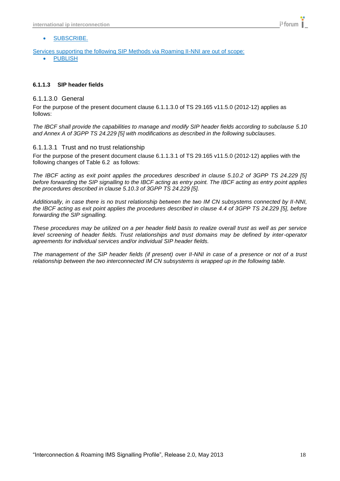#### SUBSCRIBE.

Services supporting the following SIP Methods via Roaming II-NNI are out of scope:

• PUBLISH

#### <span id="page-17-0"></span>**6.1.1.3 SIP header fields**

#### <span id="page-17-1"></span>6.1.1.3.0 General

For the purpose of the present document clause 6.1.1.3.0 of TS 29.165 v11.5.0 (2012-12) applies as follows:

*The IBCF shall provide the capabilities to manage and modify SIP header fields according to subclause 5.10 and Annex A of 3GPP TS 24.229 [5] with modifications as described in the following subclauses.*

#### <span id="page-17-2"></span>6.1.1.3.1 Trust and no trust relationship

For the purpose of the present document clause 6.1.1.3.1 of TS 29.165 v11.5.0 (2012-12) applies with the following changes of Table 6.2 as follows:

*The IBCF acting as exit point applies the procedures described in clause 5.10.2 of 3GPP TS 24.229 [5] before forwarding the SIP signalling to the IBCF acting as entry point. The IBCF acting as entry point applies the procedures described in clause 5.10.3 of 3GPP TS 24.229 [5].*

*Additionally, in case there is no trust relationship between the two IM CN subsystems connected by II-NNI, the IBCF acting as exit point applies the procedures described in clause 4.4 of 3GPP TS 24.229 [5], before forwarding the SIP signalling.*

*These procedures may be utilized on a per header field basis to realize overall trust as well as per service level screening of header fields. Trust relationships and trust domains may be defined by inter-operator agreements for individual services and/or individual SIP header fields.*

*The management of the SIP header fields (if present) over II-NNI in case of a presence or not of a trust relationship between the two interconnected IM CN subsystems is wrapped up in the following table.*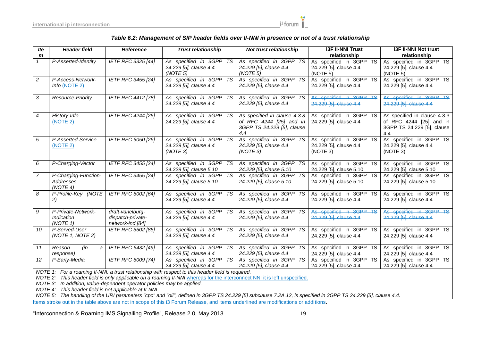

#### *Table 6.2: Management of SIP header fields over II-NNI in presence or not of a trust relationship*

| <b>Ite</b>     | <b>Header field</b><br><b>Reference</b>       |                                                           | <b>Trust relationship</b>                                     | Not trust relationship                                                                       | <b>i3F II-NNI Trust</b>                                       | <b>i3F II-NNI Not trust</b>                                                                  |  |
|----------------|-----------------------------------------------|-----------------------------------------------------------|---------------------------------------------------------------|----------------------------------------------------------------------------------------------|---------------------------------------------------------------|----------------------------------------------------------------------------------------------|--|
| m              |                                               |                                                           |                                                               |                                                                                              | relationship                                                  | relationship                                                                                 |  |
|                | P-Asserted-Identity                           | <b>IETF RFC 3325 [44]</b>                                 | As specified in 3GPP TS<br>24.229 [5], clause 4.4<br>(NOTE 5) | As specified in 3GPP TS<br>24.229 [5], clause 4.4<br>(NOTE 5)                                | As specified in 3GPP TS<br>24.229 [5], clause 4.4<br>(NOTE 5) | As specified in 3GPP TS<br>24.229 [5], clause 4.4<br>(NOTE 5)                                |  |
| $\overline{2}$ | P-Access-Network-<br><i>Info</i> (NOTE $2$ )  | IETF RFC 3455 [24]                                        | As specified in 3GPP TS<br>24.229 [5], clause 4.4             | As specified in 3GPP TS<br>24.229 [5], clause 4.4                                            | As specified in 3GPP TS<br>24.229 [5], clause 4.4             | As specified in 3GPP TS<br>24.229 [5], clause 4.4                                            |  |
| 3              | Resource-Priority                             | IETF RFC 4412 [78]                                        | As specified in 3GPP TS<br>24.229 [5], clause 4.4             | As specified in 3GPP TS<br>24.229 [5], clause 4.4                                            | As specified in 3GPP TS<br>24.229 [5], clause 4.4             | As specified in 3GPP TS<br>24.229 [5], clause 4.4                                            |  |
| 4              | History-Info<br>(NOTE 2)                      | IETF RFC 4244 [25]                                        | As specified in 3GPP TS<br>24.229 [5], clause 4.4             | As specified in clause 4.3.3<br>of RFC 4244 [25] and in<br>3GPP TS 24.229 [5], clause<br>4.4 | As specified in 3GPP TS<br>24.229 [5], clause 4.4             | As specified in clause 4.3.3<br>of RFC 4244 [25] and in<br>3GPP TS 24.229 [5], clause<br>4.4 |  |
| 5              | P-Asserted-Service<br>(NOTE 2)                | IETF RFC 6050 [26]                                        | As specified in 3GPP TS<br>24.229 [5], clause 4.4<br>(NOTE 3) | As specified in 3GPP TS<br>24.229 [5], clause 4.4<br>(NOTE 3)                                | As specified in 3GPP TS<br>24.229 [5], clause 4.4<br>(NOTE 3) | As specified in 3GPP TS<br>24.229 [5], clause 4.4<br>(NOTE 3)                                |  |
| 6              | P-Charging-Vector                             | IETF RFC 3455 [24]                                        | As specified in 3GPP TS<br>24.229 [5], clause 5.10            | As specified in 3GPP TS<br>24.229 [5], clause 5.10                                           | As specified in 3GPP TS<br>24.229 [5], clause 5.10            | As specified in 3GPP TS<br>24.229 [5], clause 5.10                                           |  |
| $\overline{7}$ | P-Charging-Function-<br>Addresses<br>(NOTE 4) | IETF RFC 3455 [24]                                        | As specified in 3GPP TS<br>24.229 [5], clause 5.10            | As specified in 3GPP TS<br>24.229 [5], clause 5.10                                           | As specified in 3GPP TS<br>24.229 [5], clause 5.10            | As specified in 3GPP TS<br>24.229 [5], clause 5.10                                           |  |
| 8              | P-Profile-Key (NOTE<br>2)                     | IETF RFC 5002 [64]                                        | As specified in 3GPP TS<br>24.229 [5], clause 4.4             | As specified in 3GPP TS<br>24.229 [5], clause 4.4                                            | As specified in 3GPP TS<br>24.229 [5], clause 4.4             | As specified in 3GPP TS<br>24.229 [5], clause 4.4                                            |  |
| 9              | P-Private-Network-<br>Indication<br>(NOTE 1)  | draft-vanelburg-<br>dispatch-private-<br>network-ind [84] | As specified in 3GPP TS<br>24.229 [5], clause 4.4             | As specified in 3GPP TS<br>24.229 [5], clause 4.4                                            | As specified in 3GPP TS<br>24.229 [5], clause 4.4             | As specified in 3GPP TS<br>24.229 [5], clause 4.4                                            |  |
| 10             | P-Served-User<br>(NOTE 1, NOTE 2)             | IETF RFC 5502 [85]                                        | As specified in 3GPP TS<br>24.229 [5], clause 4.4             | As specified in 3GPP TS<br>24.229 [5], clause 4.4                                            | As specified in 3GPP TS<br>24.229 [5], clause 4.4             | As specified in 3GPP TS<br>24.229 [5], clause 4.4                                            |  |
| 11             | Reason<br>(in<br>a<br>response)               | IETF RFC 6432 [49]                                        | As specified in 3GPP TS<br>24.229 [5], clause 4.4             | As specified in 3GPP TS<br>24.229 [5], clause 4.4                                            | As specified in 3GPP TS<br>24.229 [5], clause 4.4             | As specified in 3GPP TS<br>24.229 [5], clause 4.4                                            |  |
| 12             | P-Early-Media                                 | <b>IETF RFC 5009 [74]</b>                                 | As specified in 3GPP TS<br>24.229 [5], clause 4.4             | As specified in 3GPP TS<br>24.229 [5], clause 4.4                                            | As specified in 3GPP TS<br>24.229 [5], clause 4.4             | As specified in 3GPP TS<br>24.229 [5], clause 4.4                                            |  |

*NOTE 1: For a roaming II-NNI, a trust relationship with respect to this header field is required.*

*NOTE 2:* This header field is only applicable on a roaming II-NNI whereas for the interconnect NNI it is left unspecified.

*NOTE 3: In addition, value-dependent operator policies may be applied.*

*NOTE 4: This header field is not applicable at II-NNI.*

*NOTE 5: The handling of the URI parameters "cpc" and "oli", defined in 3GPP TS 24.229 [5] subclause 7.2A.12, is specified in 3GPP TS 24.229 [5], clause 4.4.*

Items stroke out in the table above are not in scope of this i3 Forum Release, and items underlined are modifications or additions.

"Interconnection & Roaming IMS Signalling Profile", Release 2.0, May 2013 19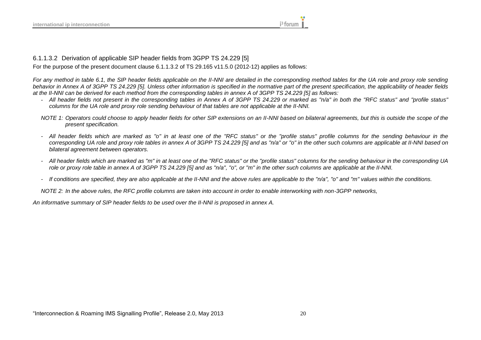6.1.1.3.2 Derivation of applicable SIP header fields from 3GPP TS 24.229 [5]

For the purpose of the present document clause 6.1.1.3.2 of TS 29.165 v11.5.0 (2012-12) applies as follows:

For any method in table 6.1, the SIP header fields applicable on the II-NNI are detailed in the corresponding method tables for the UA role and proxy role sending *behavior in Annex A of 3GPP TS 24.229 [5]. Unless other information is specified in the normative part of the present specification, the applicability of header fields at the II-NNI can be derived for each method from the corresponding tables in annex A of 3GPP TS 24.229 [5] as follows:*

- All header fields not present in the corresponding tables in Annex A of 3GPP TS 24.229 or marked as "n/a" in both the "RFC status" and "profile status" *columns for the UA role and proxy role sending behaviour of that tables are not applicable at the II-NNI.*
- *NOTE 1: Operators could choose to apply header fields for other SIP extensions on an II-NNI based on bilateral agreements, but this is outside the scope of the present specification.*
- *- All header fields which are marked as "o" in at least one of the "RFC status" or the "profile status" profile columns for the sending behaviour in the corresponding UA role and proxy role tables in annex A of 3GPP TS 24.229 [5] and as "n/a" or "o" in the other such columns are applicable at II-NNI based on bilateral agreement between operators.*
- *- All header fields which are marked as "m" in at least one of the "RFC status" or the "profile status" columns for the sending behaviour in the corresponding UA role or proxy role table in annex A of 3GPP TS 24.229 [5] and as "n/a", "o", or "m" in the other such columns are applicable at the II-NNI.*
- *- If conditions are specified, they are also applicable at the II-NNI and the above rules are applicable to the "n/a", "o" and "m" values within the conditions.*

<span id="page-19-0"></span>*NOTE 2: In the above rules, the RFC profile columns are taken into account in order to enable interworking with non-3GPP networks,*

*An informative summary of SIP header fields to be used over the II-NNI is proposed in annex A.*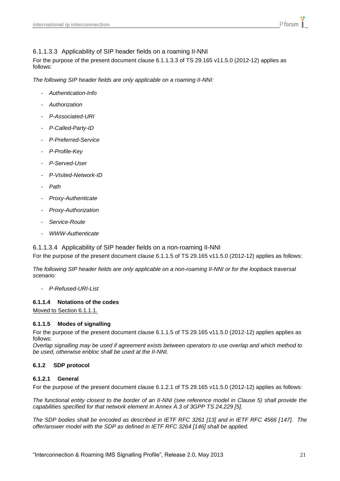### <span id="page-20-0"></span>6.1.1.3.3 Applicability of SIP header fields on a roaming II-NNI

For the purpose of the present document clause 6.1.1.3.3 of TS 29.165 v11.5.0 (2012-12) applies as follows:

*The following SIP header fields are only applicable on a roaming II-NNI:*

- *- Authentication-Info*
- *- Authorization*
- *- P-Associated-URI*
- *- P-Called-Party-ID*
- *- P-Preferred-Service*
- *- P-Profile-Key*
- *- P-Served-User*
- *- P-Visited-Network-ID*
- *- Path*
- *- Proxy-Authenticate*
- *- Proxy-Authorization*
- *- Service-Route*
- *- WWW-Authenticate*

#### <span id="page-20-1"></span>6.1.1.3.4 Applicability of SIP header fields on a non-roaming II-NNI

For the purpose of the present document clause 6.1.1.5 of TS 29.165 v11.5.0 (2012-12) applies as follows:

*The following SIP header fields are only applicable on a non-roaming II-NNI or for the loopback traversal scenario:*

*- P-Refused-URI-List*

#### <span id="page-20-2"></span>**6.1.1.4 Notations of the codes**

Moved to Section 6.1.1.1.

#### <span id="page-20-3"></span>**6.1.1.5 Modes of signalling**

For the purpose of the present document clause 6.1.1.5 of TS 29.165 v11.5.0 (2012-12) applies applies as follows:

*Overlap signalling may be used if agreement exists between operators to use overlap and which method to be used, otherwise enbloc shall be used at the II-NNI.*

#### <span id="page-20-4"></span>**6.1.2 SDP protocol**

### <span id="page-20-5"></span>**6.1.2.1 General**

For the purpose of the present document clause 6.1.2.1 of TS 29.165 v11.5.0 (2012-12) applies as follows:

*The functional entity closest to the border of an II-NNI (see reference model in Clause 5) shall provide the capabilities specified for that network element in Annex A.3 of 3GPP TS 24.229 [5].*

*The SDP bodies shall be encoded as described in IETF RFC 3261 [13] and in IETF RFC 4566 [147]. The offer/answer model with the SDP as defined in IETF RFC 3264 [146] shall be applied.*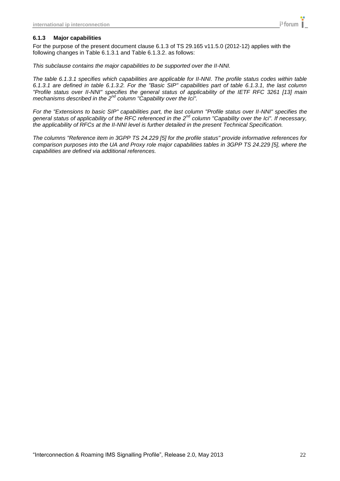#### <span id="page-21-0"></span>**6.1.3 Major capabilities**

For the purpose of the present document clause 6.1.3 of TS 29.165 v11.5.0 (2012-12) applies with the following changes in Table 6.1.3.1 and Table 6.1.3.2. as follows:

*This subclause contains the major capabilities to be supported over the II-NNI.*

*The table 6.1.3.1 specifies which capabilities are applicable for II-NNI. The profile status codes within table 6.1.3.1 are defined in table 6.1.3.2. For the "Basic SIP" capabilities part of table 6.1.3.1, the last column "Profile status over II-NNI" specifies the general status of applicability of the IETF RFC 3261 [13] main mechanisms described in the 2nd column "Capability over the Ici".* 

*For the "Extensions to basic SIP" capabilities part, the last column "Profile status over II-NNI" specifies the general status of applicability of the RFC referenced in the 2nd column "Capability over the Ici". If necessary, the applicability of RFCs at the II-NNI level is further detailed in the present Technical Specification.*

*The columns "Reference item in 3GPP TS 24.229 [5] for the profile status" provide informative references for comparison purposes into the UA and Proxy role major capabilities tables in 3GPP TS 24.229 [5], where the capabilities are defined via additional references.*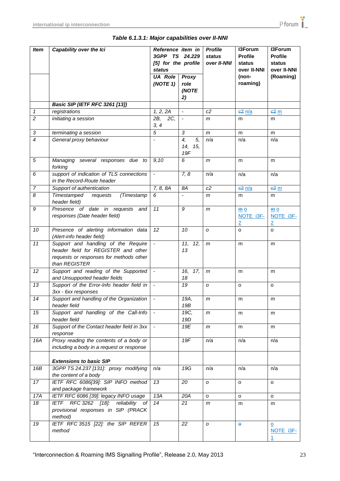| <b>Item</b>      | Capability over the Ici                                                                                                                | Reference item in<br>3GPP TS 24.229<br>[5] for the profile<br><b>status</b> |                                         | <b>Profile</b><br>status<br>over II-NNI | I3Forum<br><b>Profile</b><br>status<br>over II-NNI | I3Forum<br><b>Profile</b><br>status<br>over II-NNI |  |
|------------------|----------------------------------------------------------------------------------------------------------------------------------------|-----------------------------------------------------------------------------|-----------------------------------------|-----------------------------------------|----------------------------------------------------|----------------------------------------------------|--|
|                  |                                                                                                                                        | <b>UA Role</b><br>(NOTE 1)                                                  | Proxy<br>role                           |                                         | (non-<br>roaming)                                  | (Roaming)                                          |  |
|                  |                                                                                                                                        |                                                                             | (NOTE<br>2)                             |                                         |                                                    |                                                    |  |
|                  | <b>Basic SIP (IETF RFC 3261 [13])</b>                                                                                                  |                                                                             |                                         |                                         |                                                    |                                                    |  |
| $\mathbf{1}$     | registrations                                                                                                                          | 1, 2, 2A                                                                    | $\overline{\phantom{a}}$                | c2                                      | $e^2$ $n/a$                                        | $e^2$ m                                            |  |
| $\overline{2}$   | initiating a session                                                                                                                   | 2B,<br>2C,<br>3, 4                                                          | $\overline{\phantom{a}}$                | m                                       | m                                                  | m                                                  |  |
| $\sqrt{3}$       | terminating a session                                                                                                                  | $\overline{5}$                                                              | 3                                       | m                                       | m                                                  | m                                                  |  |
| $\overline{4}$   | General proxy behaviour                                                                                                                | $\overline{\phantom{a}}$                                                    | $\overline{4,}$<br>5,<br>14, 15,<br>19F | n/a                                     | n/a                                                | n/a                                                |  |
| $\sqrt{5}$       | Managing several responses due to<br>forking                                                                                           | 9,10                                                                        | 6                                       | m                                       | m                                                  | m                                                  |  |
| 6                | support of indication of TLS connections<br>in the Record-Route header                                                                 | $\blacksquare$                                                              | 7, 8                                    | n/a                                     | n/a                                                | n/a                                                |  |
| $\boldsymbol{7}$ | Support of authentication                                                                                                              | 7, 8, 8A                                                                    | 8A                                      | c2                                      | $e^2$ $n/a$                                        | 62 <sub>m</sub>                                    |  |
| $\boldsymbol{8}$ | Timestamped<br>requests<br>(Timestamp<br>header field)                                                                                 | 6                                                                           | $\qquad \qquad \blacksquare$            | m                                       | m                                                  | m                                                  |  |
| $\boldsymbol{9}$ | Presence of date in requests and<br>responses (Date header field)                                                                      | 11                                                                          | 9                                       | m                                       | $\underline{m}$ 0<br>NOTE i3F-<br>$\overline{2}$   | $\underline{m}$ 0<br>NOTE i3F-<br>$\overline{2}$   |  |
| 10               | Presence of alerting information data<br>(Alert-info header field)                                                                     | 12                                                                          | 10                                      | O                                       | o                                                  | $\Omega$                                           |  |
| 11               | Support and handling of the Require<br>header field for REGISTER and other<br>requests or responses for methods other<br>than REGISTER | $\blacksquare$                                                              | 11, 12,<br>13                           | $\mathsf{m}$                            | m                                                  | m                                                  |  |
| 12               | Support and reading of the Supported<br>and Unsupported header fields                                                                  | $\blacksquare$                                                              | 17,<br>16,<br>18                        | $\mathsf{m}$                            | m                                                  | m                                                  |  |
| 13               | Support of the Error-Info header field in<br>3xx - 6xx responses                                                                       | $\blacksquare$                                                              | 19                                      | O                                       | o                                                  | o                                                  |  |
| 14               | Support and handling of the Organization   -<br>header field                                                                           |                                                                             | 19A,<br>19B                             | m                                       | m                                                  | m                                                  |  |
| 15               | Support and handling of the Call-Info<br>header field                                                                                  | $\overline{\phantom{a}}$                                                    | 19C,<br>19D                             | m                                       | m                                                  | m                                                  |  |
| 16               | Support of the Contact header field in 3xx<br>response                                                                                 | $\blacksquare$                                                              | 19E                                     | m                                       | m                                                  | m                                                  |  |
| 16A              | Proxy reading the contents of a body or<br>including a body in a request or response                                                   |                                                                             | 19F                                     | n/a                                     | n/a                                                | n/a                                                |  |
|                  | <b>Extensions to basic SIP</b>                                                                                                         |                                                                             |                                         |                                         |                                                    |                                                    |  |
| 16B              | 3GPP TS 24.237 [131]: proxy modifying                                                                                                  | n/a                                                                         | 19G                                     | n/a                                     | n/a                                                | n/a                                                |  |
| 17               | the content of a body<br>IETF RFC 6086[39]: SIP INFO method                                                                            | 13                                                                          | 20                                      | O                                       | o                                                  | o                                                  |  |
|                  | and package framework                                                                                                                  |                                                                             |                                         |                                         |                                                    |                                                    |  |
| 17A              | IETF RFC 6086 [39]: legacy INFO usage                                                                                                  | 13A                                                                         | 20A                                     | O                                       | o                                                  | o                                                  |  |
| 18               | IETF RFC 3262 [18]:<br>reliability of<br>provisional responses in SIP (PRACK<br>method)                                                | 14                                                                          | 21                                      | m                                       | m                                                  | m                                                  |  |
| 19               | IETF RFC 3515 [22]: the SIP REFER<br>method                                                                                            | 15                                                                          | $\overline{22}$                         | O                                       | $\Theta$                                           | $\overline{\mathsf{o}}$<br>NOTE i3F-               |  |

<u> 1980 - Johann Barbara, martxa amerikan p</u>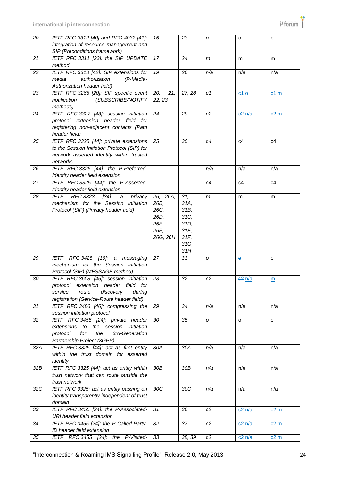| 20              | IETF RFC 3312 [40] and RFC 4032 [41]:<br>integration of resource management and<br>SIP (Preconditions framework)                                                      | 16                                                           | 23                                                                 | O            | o           | o                        |
|-----------------|-----------------------------------------------------------------------------------------------------------------------------------------------------------------------|--------------------------------------------------------------|--------------------------------------------------------------------|--------------|-------------|--------------------------|
| $\overline{21}$ | IETF RFC 3311 [23]: the SIP UPDATE<br>method                                                                                                                          | 17                                                           | 24                                                                 | $\mathsf{m}$ | m           | m                        |
| $\overline{22}$ | IETF RFC 3313 [42]: SIP extensions for<br>(P-Media-<br>authorization<br>media<br>Authorization header field)                                                          | 19                                                           | 26                                                                 | n/a          | n/a         | n/a                      |
| 23              | IETF RFC 3265 [20]: SIP specific event<br>(SUBSCRIBE/NOTIFY<br>notification<br>methods)                                                                               | 21,<br>20,<br>22, 23                                         | 27, 28                                                             | c1           | 640         | 64 <sub>m</sub>          |
| 24              | IETF RFC 3327 [43]: session initiation<br>protocol extension header field for<br>registering non-adjacent contacts (Path<br>header field)                             | 24                                                           | 29                                                                 | c2           | $e^2$ n/a   | $e^2$ m                  |
| 25              | IETF RFC 3325 [44]: private extensions<br>to the Session Initiation Protocol (SIP) for<br>network asserted identity within trusted<br>networks                        | 25                                                           | 30                                                                 | c4           | c4          | c4                       |
| 26              | IETF RFC 3325 [44]: the P-Preferred-<br>Identity header field extension                                                                                               | $\overline{\phantom{a}}$                                     | $\overline{\phantom{a}}$                                           | n/a          | n/a         | n/a                      |
| 27              | IETF RFC 3325 [44]: the P-Asserted-<br>Identity header field extension                                                                                                | $\overline{\phantom{a}}$                                     | $\overline{\phantom{a}}$                                           | c4           | c4          | c4                       |
| 28              | <b>IETF</b><br>RFC 3323 [34]:<br>privacy<br>a<br>mechanism for the Session Initiation<br>Protocol (SIP) (Privacy header field)                                        | 26, 26A,<br>26B,<br>26C,<br>26D,<br>26E,<br>26F,<br>26G, 26H | 31,<br>31A,<br>31B,<br>31C,<br>31D,<br>31E,<br>31F,<br>31G,<br>31H | m            | m           | m                        |
| 29              | IETF RFC 3428 [19]: a messaging<br>mechanism for the Session Initiation<br>Protocol (SIP) (MESSAGE method)                                                            | 27                                                           | 33                                                                 | O            | $\bullet$   | o                        |
| 30              | IETF RFC 3608 [45]: session initiation<br>protocol extension header field for<br>discovery<br>service<br>route<br>during<br>registration (Service-Route header field) | 28                                                           | 32                                                                 | c2           | 62 n/a      | m                        |
| 31              | IETF RFC 3486 [46]: compressing the<br>session initiation protocol                                                                                                    | 29                                                           | 34                                                                 | n/a          | n/a         | n/a                      |
| 32              | IETF RFC 3455 [24]: private header<br>extensions to the session initiation<br>the<br>3rd-Generation<br>protocol<br>for<br>Partnership Project (3GPP)                  | 30                                                           | 35                                                                 | O            | o           | $\underline{\mathsf{o}}$ |
| 32A             | IETF RFC 3325 [44]: act as first entity<br>within the trust domain for asserted<br>identity                                                                           | 30A                                                          | 30A                                                                | n/a          | n/a         | n/a                      |
| 32B             | IETF RFC 3325 [44]: act as entity within<br>trust network that can route outside the<br>trust network                                                                 | 30B                                                          | 30B                                                                | n/a          | n/a         | n/a                      |
| 32C             | IETF RFC 3325: act as entity passing on<br>identity transparently independent of trust<br>domain                                                                      | 30C                                                          | 30C                                                                | n/a          | n/a         | n/a                      |
| 33              | IETF RFC 3455 [24]: the P-Associated-<br>URI header field extension                                                                                                   | 31                                                           | 36                                                                 | c2           | 62 n/a      | 62 <sub>m</sub>          |
| 34              | IETF RFC 3455 [24]: the P-Called-Party-<br>ID header field extension                                                                                                  | 32                                                           | 37                                                                 | c2           | 62 n/a      | 62 <sub>m</sub>          |
| 35              | IETF RFC 3455 [24]:<br>P-Visited-<br>the                                                                                                                              | 33                                                           | 38, 39                                                             | c2           | $e^2$ $n/a$ | $e^2$ m                  |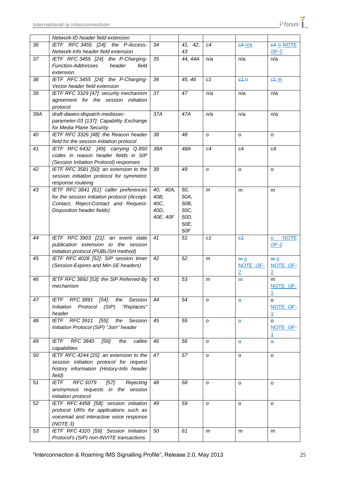|                 | Network-ID header field extension                                                  |          |                   |                |                                 |                             |
|-----------------|------------------------------------------------------------------------------------|----------|-------------------|----------------|---------------------------------|-----------------------------|
| 36              | IETF RFC 3455 [24]: the P-Access-                                                  | 34       | 42,<br>41,        | c4             | $64$ $n/a$                      | 64 o NOTE                   |
|                 | Network-Info header field extension                                                |          | 43                |                |                                 | $i3F-2$                     |
| 37              | IETF RFC 3455 [24]: the P-Charging-                                                | 35       | 44, 44A           | n/a            | n/a                             | n/a                         |
|                 | <b>Function-Addresses</b><br>header<br>field                                       |          |                   |                |                                 |                             |
|                 | extension                                                                          |          |                   |                |                                 |                             |
| 38              | IETF RFC 3455 [24]: the P-Charging-                                                | 36       | 45, 46            | C <sub>1</sub> | $e4$ -o                         | e4 m                        |
|                 | Vector header field extension                                                      |          |                   |                |                                 |                             |
|                 |                                                                                    |          |                   |                |                                 |                             |
| 39              | IETF RFC 3329 [47]: security mechanism                                             | 37       | 47                | n/a            | n/a                             | n/a                         |
|                 | agreement for the session initiation                                               |          |                   |                |                                 |                             |
|                 | protocol                                                                           |          |                   |                |                                 |                             |
| 39A             | draft-dawes-dispatch-mediasec-                                                     | 37A      | 47A               | n/a            | n/a                             | n/a                         |
|                 | parameter-03 [137]: Capability Exchange                                            |          |                   |                |                                 |                             |
|                 | for Media Plane Security                                                           |          |                   |                |                                 |                             |
| 40              | IETF RFC 3326 [48]: the Reason header                                              | 38       | 48                | O              | o                               | o                           |
|                 | field for the session initiation protocol                                          |          |                   |                |                                 |                             |
| $\overline{41}$ | IETF RFC 6432 [49]: carrying Q.850                                                 | 38A      | 48A               | c4             | c4                              | c4                          |
|                 | codes in reason header fields in SIP                                               |          |                   |                |                                 |                             |
|                 | (Session Initiation Protocol) responses                                            |          |                   |                |                                 |                             |
| 42              | IETF RFC 3581 [50]: an extension to the                                            | 39       | 49                | O              | o                               | o                           |
|                 | session initiation protocol for symmetric                                          |          |                   |                |                                 |                             |
|                 | response routeing                                                                  |          |                   |                |                                 |                             |
| 43              | IETF RFC 3841 [51]: caller preferences                                             | 40, 40A, | $\overline{50}$ , | $\mathsf{m}$   | m                               | m                           |
|                 | for the session initiation protocol (Accept-                                       | 40B,     | 50A,              |                |                                 |                             |
|                 | Contact, Reject-Contact and Request-                                               | 40C,     | 50B,              |                |                                 |                             |
|                 | Disposition header fields)                                                         | 40D,     | 50C,              |                |                                 |                             |
|                 |                                                                                    | 40E, 40F | 50D,              |                |                                 |                             |
|                 |                                                                                    |          | 50E,              |                |                                 |                             |
|                 |                                                                                    |          | 50F               |                |                                 |                             |
| 44              |                                                                                    | 41       | 51                | C <sub>1</sub> |                                 |                             |
|                 | IETF RFC 3903 [21]: an event state                                                 |          |                   |                | e <sub>1</sub>                  | <b>NOTE</b><br>$\mathbf{o}$ |
|                 | publication extension to the session                                               |          |                   |                |                                 | $i3F-2$                     |
|                 | initiation protocol (PUBLISH method)                                               |          |                   |                |                                 |                             |
| 45              | IETF RFC 4028 [52]: SIP session timer                                              | 42       | 52                | m              | $\underline{m}$ $\underline{0}$ | m <sub>0</sub>              |
|                 | (Session-Expires and Min-SE headers)                                               |          |                   |                | NOTE i3F-                       | NOTE i3F-                   |
|                 |                                                                                    |          |                   |                | $\overline{2}$                  | $\overline{2}$              |
| 46              | IETF RFC 3892 [53]: the SIP Referred-By                                            | 43       | 53                | m              | <b>m</b>                        | m                           |
|                 | mechanism                                                                          |          |                   |                |                                 | NOTE i3F-                   |
|                 |                                                                                    |          |                   |                |                                 | 1                           |
| 47              | IETF RFC 3891 [54]:<br>the<br>Session                                              | 44       | 54                | O              | $\bullet$                       | $\Omega$                    |
|                 | Initiation Protocol (SIP)<br>"Replaces"                                            |          |                   |                |                                 | NOTE 13F-                   |
|                 | header                                                                             |          |                   |                |                                 | $\mathbf{1}$                |
| 48              | IETF RFC 3911 [55]: the Session                                                    | 45       | 55                | O              | $\Theta$                        | $\Omega$                    |
|                 | Initiation Protocol (SIP) "Join" header                                            |          |                   |                |                                 | NOTE i3F-                   |
|                 |                                                                                    |          |                   |                |                                 | 1                           |
| 49              | RFC 3840<br><b>IETF</b><br>[56]:<br>the<br>callee                                  | 46       | 56                | O              | $\Theta$                        | $\ddot{\mathbf{e}}$         |
|                 | capabilities                                                                       |          |                   |                |                                 |                             |
| 50              | IETF RFC 4244 [25]: an extension to the                                            | 47       | 57                | $\mathcal{O}$  | o                               | o                           |
|                 | session initiation protocol for request                                            |          |                   |                |                                 |                             |
|                 | history information (History-Info header                                           |          |                   |                |                                 |                             |
|                 | field)                                                                             |          |                   |                |                                 |                             |
| 51              | RFC 5079<br>$[57]$ :<br>IETF<br>Rejecting                                          | 48       | 58                | O              | $\Omega$                        | $\Omega$                    |
|                 | anonymous requests in the session                                                  |          |                   |                |                                 |                             |
|                 | initiation protocol                                                                |          |                   |                |                                 |                             |
| 52              | IETF RFC 4458 [58]: session initiation                                             | 49       | 59                |                |                                 |                             |
|                 |                                                                                    |          |                   | O              | o                               | O                           |
|                 | protocol URIs for applications such as                                             |          |                   |                |                                 |                             |
|                 |                                                                                    |          |                   |                |                                 |                             |
|                 | voicemail and interactive voice response                                           |          |                   |                |                                 |                             |
|                 | (NOTE 3)                                                                           |          |                   |                |                                 |                             |
| 53              | IETF RFC 4320 [59]: Session Initiation<br>Protocol's (SIP) non-INVITE transactions | 50       | 61                | m              | m                               | m                           |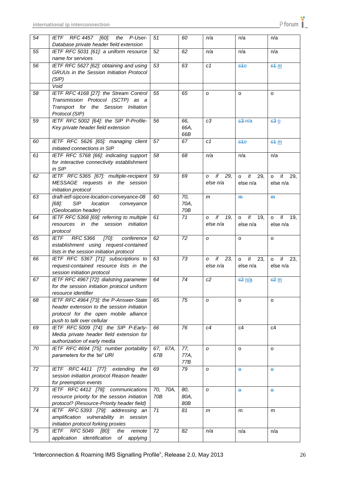| 54 | IETF RFC 4457 [60]:<br>the<br>P-User-<br>Database private header field extension     | 51       | 60   | n/a                        | n/a                        | n/a                                       |
|----|--------------------------------------------------------------------------------------|----------|------|----------------------------|----------------------------|-------------------------------------------|
| 55 | IETF RFC 5031 [61]: a uniform resource                                               | 52       | 62   | n/a                        | n/a                        | n/a                                       |
|    | name for services                                                                    |          |      |                            |                            |                                           |
| 56 | IETF RFC 5627 [62]: obtaining and using                                              | 53       | 63   | C <sub>1</sub>             | 640                        | $64 \text{ m}$                            |
|    | GRUUs in the Session Initiation Protocol                                             |          |      |                            |                            |                                           |
|    | (SIP)                                                                                |          |      |                            |                            |                                           |
|    | Void                                                                                 |          |      |                            |                            |                                           |
| 58 | IETF RFC 4168 [27]: the Stream Control                                               | 55       | 65   | O                          | o                          | o                                         |
|    | Transmission Protocol (SCTP) as a<br>Transport for the Session Initiation            |          |      |                            |                            |                                           |
|    | Protocol (SIP)                                                                       |          |      |                            |                            |                                           |
| 59 | IETF RFC 5002 [64]: the SIP P-Profile-                                               | 56       | 66,  | c3                         | $63 - n/a$                 | 630                                       |
|    | Key private header field extension                                                   |          | 66A, |                            |                            |                                           |
|    |                                                                                      |          | 66B  |                            |                            |                                           |
| 60 | IETF RFC 5626 [65]: managing client                                                  | 57       | 67   | C <sub>1</sub>             | 640                        | e4m                                       |
|    | initiated connections in SIP                                                         |          |      |                            |                            |                                           |
| 61 | IETF RFC 5768 [66]: indicating support                                               | 58       | 68   | n/a                        | n/a                        | n/a                                       |
|    | for interactive connectivity establishment                                           |          |      |                            |                            |                                           |
|    | in SIP                                                                               |          |      |                            |                            |                                           |
| 62 | IETF RFC 5365 [67]: multiple-recipient<br>MESSAGE requests in the session            | 59       | 69   | if<br>29,<br>0<br>else n/a | if<br>29,<br>o<br>else n/a | if<br>29,<br>o<br>else n/a                |
|    | initiation protocol                                                                  |          |      |                            |                            |                                           |
| 63 | draft-ietf-sipcore-location-conveyance-08                                            | 60       | 70,  | m                          | H <sub>H</sub>             | H <sub>H</sub>                            |
|    | <b>SIP</b><br>$[68]$ :<br>location<br>conveyance                                     |          | 70A, |                            |                            |                                           |
|    | (Geolocation header)                                                                 |          | 70B  |                            |                            |                                           |
| 64 | IETF RFC 5368 [69]: referring to multiple                                            | 61       | 71   | if<br>19,<br>O             | if<br>19,<br>o             | $\overline{\mathbf{f}}$<br>19,<br>$\circ$ |
|    | resources in the<br>session<br>initiation                                            |          |      | else n/a                   | else n/a                   | else n/a                                  |
|    | protocol                                                                             |          |      |                            |                            |                                           |
| 65 | $\overline{[70]}$ :<br>RFC 5366<br>conference<br><b>IETF</b>                         | 62       | 72   | O                          | o                          | o                                         |
|    | establishment using request-contained<br>lists in the session initiation protocol    |          |      |                            |                            |                                           |
| 66 | IETF RFC 5367 [71]: subscriptions to                                                 | 63       | 73   | if<br>23,<br>O             | if<br>23,<br>$\circ$       | if<br>23.<br>o                            |
|    | request-contained resource lists in the                                              |          |      | else n/a                   | else n/a                   | else n/a                                  |
|    | session initiation protocol                                                          |          |      |                            |                            |                                           |
| 67 | IETF RFC 4967 [72]: dialstring parameter                                             | 64       | 74   | c2                         | <u>e2 n/a</u>              | $e^2$ m                                   |
|    | for the session initiation protocol uniform                                          |          |      |                            |                            |                                           |
|    | resource identifier                                                                  |          |      |                            |                            |                                           |
| 68 | IETF RFC 4964 [73]: the P-Answer-State<br>header extension to the session initiation | 65       | 75   | O                          | o                          | $\circ$                                   |
|    | protocol for the open mobile alliance                                                |          |      |                            |                            |                                           |
|    | push to talk over cellular                                                           |          |      |                            |                            |                                           |
| 69 | IETF RFC 5009 [74]: the SIP P-Early-                                                 | 66       | 76   | c4                         | c4                         | c4                                        |
|    | Media private header field extension for                                             |          |      |                            |                            |                                           |
|    | authorization of early media                                                         |          |      |                            |                            |                                           |
| 70 | IETF RFC 4694 [75]: number portability                                               | 67, 67A, | 77,  | O                          | o                          | $\circ$                                   |
|    | parameters for the 'tel' URI                                                         | 67B      | 77A, |                            |                            |                                           |
|    |                                                                                      |          | 77B  |                            |                            |                                           |
| 72 | IETF RFC 4411 [77]: extending the<br>session initiation protocol Reason header       | 69       | 79   | O                          | $\Theta$                   | $\Theta$                                  |
|    | for preemption events                                                                |          |      |                            |                            |                                           |
| 73 | IETF RFC 4412 [78]: communications                                                   | 70, 70A, | 80,  | O                          | $\Theta$                   | $\Theta$                                  |
|    | resource priority for the session initiation                                         | 70B      | 80A, |                            |                            |                                           |
|    | protocol? (Resource-Priority header field)                                           |          | 80B  |                            |                            |                                           |
| 74 | IETF RFC 5393 [79]: addressing an                                                    | 71       | 81   | m                          | m                          | m                                         |
|    | amplification vulnerability in session                                               |          |      |                            |                            |                                           |
|    | initiation protocol forking proxies                                                  |          |      |                            |                            |                                           |
| 75 | IETF RFC 5049 [80]:<br>remote<br>the                                                 | 72       | 82   | n/a                        | n/a                        | n/a                                       |
|    | application identification<br>of<br>applying                                         |          |      |                            |                            |                                           |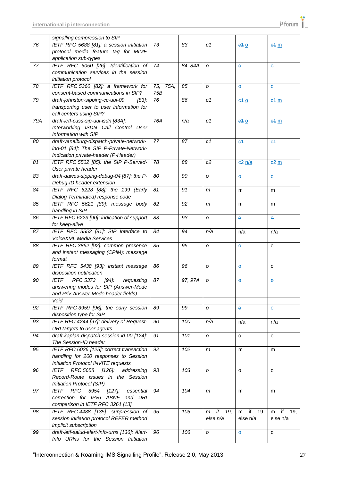|     | signalling compression to SIP                               |      |         |                |                |                 |
|-----|-------------------------------------------------------------|------|---------|----------------|----------------|-----------------|
| 76  | IETF RFC 5688 [81]: a session initiation                    | 73   | 83      | c1             | 640            | 64 <sub>m</sub> |
|     | protocol media feature tag for MIME                         |      |         |                |                |                 |
|     | application sub-types                                       |      |         |                |                |                 |
| 77  | IETF RFC 6050 [26]: Identification of                       | 74   | 84, 84A | O              | $\Theta$       | $\bullet$       |
|     | communication services in the session                       |      |         |                |                |                 |
|     | initiation protocol                                         |      |         |                |                |                 |
| 78  | IETF RFC 5360 [82]: a framework for                         | 75A, | 85      |                |                |                 |
|     |                                                             | 75,  |         | O              | $\Theta$       | $\Theta$        |
|     | consent-based communications in SIP?                        | 75B  |         |                |                |                 |
| 79  | draft-johnston-sipping-cc-uui-09<br>[83]:                   | 76   | 86      | c1             | 640            | 64 <sub>m</sub> |
|     | transporting user to user information for                   |      |         |                |                |                 |
|     | call centers using SIP?                                     |      |         |                |                |                 |
| 79A | draft-ietf-cuss-sip-uui-isdn [83A]:                         | 76A  | n/a     | c1             | 640            | 64 <sub>m</sub> |
|     | Interworking ISDN Call Control User                         |      |         |                |                |                 |
|     | Information with SIP                                        |      |         |                |                |                 |
| 80  | draft-vanelburg-dispatch-private-network-                   | 77   | 87      | c1             | $-64$          | 64              |
|     | ind-01 [84]: The SIP P-Private-Network-                     |      |         |                |                |                 |
|     | Indication private-header (P-Header)                        |      |         |                |                |                 |
| 81  | IETF RFC 5502 [85]: the SIP P-Served-                       | 78   | 88      | c2             | $e^2$ $n/a$    | $62 \text{ m}$  |
|     | User private header                                         |      |         |                |                |                 |
| 83  | draft-dawes-sipping-debug-04 [87]: the P-                   | 80   | 90      | о              | Ò.             | $\bullet$       |
|     | Debug-ID header extension                                   |      |         |                |                |                 |
| 84  | IETF RFC 6228 [88]: the 199 (Early                          | 81   | 91      | m              | m              | m               |
|     | Dialog Terminated) response code                            |      |         |                |                |                 |
| 85  | IETF RFC 5621 [89]: message body                            | 82   | 92      | m              | m              | m               |
|     | handling in SIP                                             |      |         |                |                |                 |
| 86  | IETF RFC 6223 [90]: indication of support                   | 83   | 93      | O              | $\bullet$      | θ               |
|     | for keep-alive                                              |      |         |                |                |                 |
| 87  | IETF RFC 5552 [91]: SIP Interface to                        | 84   | 94      |                |                |                 |
|     |                                                             |      |         | n/a            | n/a            | n/a             |
|     | <b>VoiceXML Media Services</b>                              |      |         |                |                |                 |
| 88  | IETF RFC 3862 [92]: common presence                         | 85   | 95      | $\mathcal{O}$  | $\bullet$      | o               |
|     | and instant messaging (CPIM): message                       |      |         |                |                |                 |
|     | format                                                      |      |         |                |                |                 |
| 89  | IETF RFC 5438 [93]: instant message                         | 86   | 96      | $\mathcal{O}$  | $\Theta$       | o               |
|     | disposition notification                                    |      |         |                |                |                 |
| 90  | <b>RFC 5373</b><br><b>IETF</b><br>$[94]$ :<br>requesting    | 87   | 97, 97A | O              | $\Theta$       | $\Theta$        |
|     | answering modes for SIP (Answer-Mode                        |      |         |                |                |                 |
|     | and Priv-Answer-Mode header fields)                         |      |         |                |                |                 |
|     | Void                                                        |      |         |                |                |                 |
| 92  | IETF RFC 3959 [96]: the early session                       | 89   | 99      | O              | $\bullet$      | $\mathbf{o}$    |
|     | disposition type for SIP                                    |      |         |                |                |                 |
| 93  | IETF RFC 4244 [97]: delivery of Request-                    | 90   | 100     | n/a            | n/a            | n/a             |
|     | URI targets to user agents                                  |      |         |                |                |                 |
| 94  | draft-kaplan-dispatch-session-id-00 [124]:                  | 91   | 101     | O              | o              | o               |
|     | The Session-ID header                                       |      |         |                |                |                 |
| 95  | IETF RFC 6026 [125]: correct transaction                    | 92   | 102     | m              | m              | m               |
|     | handling for 200 responses to Session                       |      |         |                |                |                 |
|     | Initiation Protocol INVITE requests                         |      |         |                |                |                 |
| 96  | RFC 5658 [126]:<br>addressing<br>IETF                       | 93   | 103     | O              | o              | o               |
|     | Record-Route issues in the Session                          |      |         |                |                |                 |
|     |                                                             |      |         |                |                |                 |
|     | Initiation Protocol (SIP)                                   |      |         |                |                |                 |
| 97  | <b>IETF</b><br><b>RFC</b><br>5954<br>$[127]$ :<br>essential | 94   | 104     | m              | m              | m               |
|     | correction for IPv6 ABNF and URI                            |      |         |                |                |                 |
|     | comparison in IETF RFC 3261 [13]                            |      |         |                |                |                 |
| 98  | IETF RFC 4488 [135]: suppression of                         | 95   | 105     | if<br>19,<br>m | if<br>19,<br>m | if<br>19,<br>m  |
|     | session initiation protocol REFER method                    |      |         | else n/a       | else n/a       | else n/a        |
|     | implicit subscription                                       |      |         |                |                |                 |
| 99  | draft-ietf-salud-alert-info-urns [136]: Alert-              | 96   | 106     | O              | $\Theta$       | o               |
|     | Info URNs for the Session Initiation                        |      |         |                |                |                 |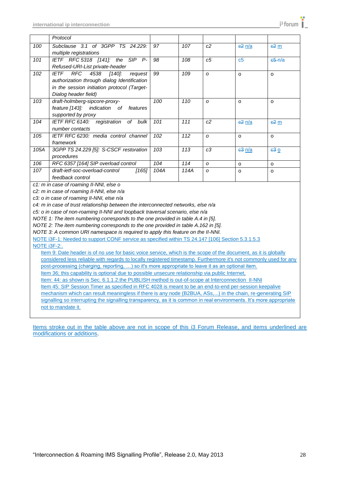|      | Protocol                                    |      |      |                |                |                     |
|------|---------------------------------------------|------|------|----------------|----------------|---------------------|
| 100  | Subclause 3.1 of 3GPP TS 24.229:            | 97   | 107  | c2             | $e^2$ $n/a$    | $e^2 \underline{m}$ |
|      | multiple registrations                      |      |      |                |                |                     |
| 101  | IETF RFC 5318 [141]: the SIP<br>$P-$        | 98   | 108  | c <sub>5</sub> | c <sub>5</sub> | $65 - n/a$          |
|      | Refused-URI-List private-header             |      |      |                |                |                     |
| 102  | RFC<br>4538 [140]:<br>IETF<br>request       | 99   | 109  | $\Omega$       | $\Omega$       | $\Omega$            |
|      | authorization through dialog Identification |      |      |                |                |                     |
|      | in the session initiation protocol (Target- |      |      |                |                |                     |
|      | Dialog header field)                        |      |      |                |                |                     |
| 103  | draft-holmberg-sipcore-proxy-               | 100  | 110  | $\Omega$       | $\Omega$       | $\Omega$            |
|      | feature [143]: indication of features       |      |      |                |                |                     |
|      | supported by proxy                          |      |      |                |                |                     |
| 104  | IETF RFC 6140: registration of bulk         | 101  | 111  | c2             | $c2$ $n/a$     | $62 \text{ m}$      |
|      | number contacts                             |      |      |                |                |                     |
| 105  | IETF RFC 6230: media control channel        | 102  | 112  | $\Omega$       | $\Omega$       | $\Omega$            |
|      | framework                                   |      |      |                |                |                     |
| 105A | 3GPP TS 24.229 [5]: S-CSCF restoration      | 103  | 113  | c3             | $e3$ $n/a$     | e30                 |
|      | procedures                                  |      |      |                |                |                     |
| 106  | RFC 6357 [164] SIP overload control         | 104  | 114  | $\Omega$       | $\Omega$       | $\Omega$            |
| 107  | draft-ietf-soc-overload-control<br>[165]    | 104A | 114A | $\Omega$       | $\Omega$       | $\Omega$            |
|      | feedback control                            |      |      |                |                |                     |
|      | c1: m in case of roaming II-NNI, else o     |      |      |                |                |                     |

*c2: m in case of roaming II-NNI, else n/a*

*c3: o in case of roaming II-NNI, else n/a*

*c4: m in case of trust relationship between the interconnected networks, else n/a*

*c5: o in case of non-roaming II-NNI and loopback traversal scenario, else n/a*

*NOTE 1: The item numbering corresponds to the one provided in table A.4 in [5].*

*NOTE 2: The item numbering corresponds to the one provided in table A.162 in [5].*

*NOTE 3: A common URI namespace is required to apply this feature on the II-NNI.*

NOTE i3F-1: Needed to support CONF service as specified within TS 24.147 [106] Section 5.3.1.5.3

#### NOTE i3F-2:.

Item 9: Date header is of no use for basic voice service, which is the scope of the document, as it is globally considered less reliable with regards to locally registered timestamp. Furthermore it's not commonly used for any post-processing (charging, reporting, …) so it's more appropriate to leave it as an optional item. Item 36; this capability is optional due to possible unsecure relationship via public Internet,

Item: 44: as shown is Sec. 6.1.1.2.the PUBLISH method is out-of-scope at Interconnection II-NNI

Item 45: SIP Session Timer as specified in RFC 4028 is meant to be an end-to-end per-session keepalive

mechanism which can result meaningless if there is any node (B2BUA, ASs,...) in the chain, re-generating SIP signalling so interrupting the signalling transparency, as it is common in real environments. It's more appropriate not to mandate it.

Items stroke out in the table above are not in scope of this i3 Forum Release, and items underlined are modifications or additions.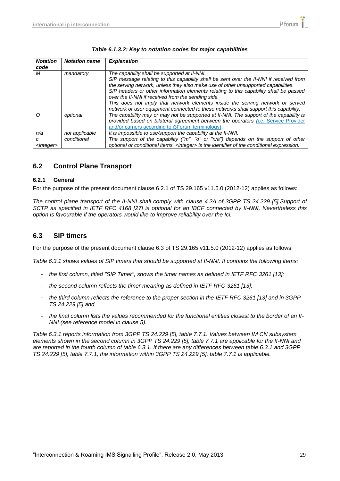| <b>Notation</b><br>code  | <b>Notation name</b> | <b>Explanation</b>                                                                                                                                                                                                                                                                                                                                                                                                                                                                                                                                   |
|--------------------------|----------------------|------------------------------------------------------------------------------------------------------------------------------------------------------------------------------------------------------------------------------------------------------------------------------------------------------------------------------------------------------------------------------------------------------------------------------------------------------------------------------------------------------------------------------------------------------|
| М                        | mandatory            | The capability shall be supported at II-NNI.<br>SIP message relating to this capability shall be sent over the II-NNI if received from<br>the serving network, unless they also make use of other unsupported capabilities.<br>SIP headers or other information elements relating to this capability shall be passed<br>over the II-NNI if received from the sending side.<br>This does not imply that network elements inside the serving network or served<br>network or user equipment connected to these networks shall support this capability. |
| ∩                        | optional             | The capability may or may not be supported at II-NNI. The support of the capability is<br>provided based on bilateral agreement between the operators (i.e. Service Provider<br>and/or carriers according to i3Forum terminology).                                                                                                                                                                                                                                                                                                                   |
| n/a                      | not applicable       | It is impossible to use/support the capability at the II-NNI.                                                                                                                                                                                                                                                                                                                                                                                                                                                                                        |
| с<br><integer></integer> | conditional          | The support of the capability ("m", "o" or "n/a") depends on the support of other<br>optional or conditional items. <integer> is the identifier of the conditional expression.</integer>                                                                                                                                                                                                                                                                                                                                                             |

## <span id="page-28-0"></span>**6.2 Control Plane Transport**

#### <span id="page-28-1"></span>**6.2.1 General**

For the purpose of the present document clause 6.2.1 of TS 29.165 v11.5.0 (2012-12) applies as follows:

*The control plane transport of the II-NNI shall comply with clause 4.2A of 3GPP TS 24.229 [5].Support of SCTP as specified in IETF RFC 4168 [27] is optional for an IBCF connected by II-NNI. Nevertheless this option is favourable if the operators would like to improve reliability over the Ici.*

## <span id="page-28-2"></span>**6.3 SIP timers**

For the purpose of the present document clause 6.3 of TS 29.165 v11.5.0 (2012-12) applies as follows:

*Table 6.3.1 shows values of SIP timers that should be supported at II-NNI. It contains the following items:*

- *- the first column, titled "SIP Timer", shows the timer names as defined in IETF RFC 3261 [13];*
- *- the second column reflects the timer meaning as defined in IETF RFC 3261 [13];*
- *- the third column reflects the reference to the proper section in the IETF RFC 3261 [13] and in 3GPP TS 24.229 [5] and*
- *- the final column lists the values recommended for the functional entities closest to the border of an II-NNI (see reference model in clause 5).*

*Table 6.3.1 reports information from 3GPP TS 24.229 [5], table 7.7.1. Values between IM CN subsystem elements shown in the second column in 3GPP TS 24.229 [5], table 7.7.1 are applicable for the II-NNI and are reported in the fourth column of table 6.3.1. If there are any differences between table 6.3.1 and 3GPP TS 24.229 [5], table 7.7.1, the information within 3GPP TS 24.229 [5], table 7.7.1 is applicable.*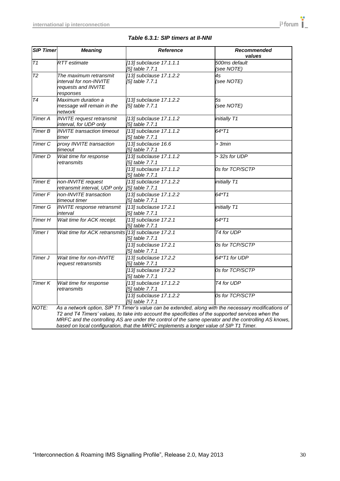| <b>SIP Timer</b>   | <b>Meaning</b>                                                                                                                                                                                                                                                                                                                                                                                                | <b>Reference</b>                           | Recommended<br>values       |  |  |
|--------------------|---------------------------------------------------------------------------------------------------------------------------------------------------------------------------------------------------------------------------------------------------------------------------------------------------------------------------------------------------------------------------------------------------------------|--------------------------------------------|-----------------------------|--|--|
| $\overline{T}1$    | <b>RTT</b> estimate                                                                                                                                                                                                                                                                                                                                                                                           | [13] subclause 17.1.1.1<br>[5] table 7.7.1 | 500ms default<br>(see NOTE) |  |  |
| T2                 | The maximum retransmit<br>interval for non-INVITE<br>requests and INVITE<br>responses                                                                                                                                                                                                                                                                                                                         | [13] subclause 17.1.2.2<br>[5] table 7.7.1 | 4s<br>(see NOTE)            |  |  |
| $\overline{74}$    | Maximum duration a<br>message will remain in the<br>network                                                                                                                                                                                                                                                                                                                                                   | [13] subclause 17.1.2.2<br>[5] table 7.7.1 | 5s<br>(see NOTE)            |  |  |
| <b>Timer A</b>     | <b>INVITE</b> request retransmit<br>interval, for UDP only                                                                                                                                                                                                                                                                                                                                                    | [13] subclause 17.1.1.2<br>[5] table 7.7.1 | initially T1                |  |  |
| <b>Timer B</b>     | <b>INVITE</b> transaction timeout<br>timer                                                                                                                                                                                                                                                                                                                                                                    | [13] subclause 17.1.1.2<br>[5] table 7.7.1 | 64*T1                       |  |  |
| <b>Timer C</b>     | proxy INVITE transaction<br>timeout                                                                                                                                                                                                                                                                                                                                                                           | [13] subclause 16.6<br>[5] table 7.7.1     | > 3min                      |  |  |
| Timer D            | Wait time for response<br>retransmits                                                                                                                                                                                                                                                                                                                                                                         | [13] subclause 17.1.1.2<br>[5] table 7.7.1 | > 32s for UDP               |  |  |
|                    |                                                                                                                                                                                                                                                                                                                                                                                                               | [13] subclause 17.1.1.2<br>[5] table 7.7.1 | 0s for TCP/SCTP             |  |  |
| <b>Timer E</b>     | non-INVITE request<br>retransmit interval, UDP only                                                                                                                                                                                                                                                                                                                                                           | [13] subclause 17.1.2.2<br>[5] table 7.7.1 | initially T1                |  |  |
| Timer <sub>F</sub> | non-INVITE transaction<br>timeout timer                                                                                                                                                                                                                                                                                                                                                                       | [13] subclause 17.1.2.2<br>[5] table 7.7.1 | 64*T1                       |  |  |
| <b>Timer G</b>     | <b>INVITE</b> response retransmit<br>interval                                                                                                                                                                                                                                                                                                                                                                 | [13] subclause 17.2.1<br>[5] table 7.7.1   | initially T1                |  |  |
| <b>Timer H</b>     | Wait time for ACK receipt.                                                                                                                                                                                                                                                                                                                                                                                    | [13] subclause 17.2.1<br>[5] table 7.7.1   | 64*T1                       |  |  |
| Timer I            | Wait time for ACK retransmits [13] subclause 17.2.1                                                                                                                                                                                                                                                                                                                                                           | [5] table 7.7.1                            | T4 for UDP                  |  |  |
|                    |                                                                                                                                                                                                                                                                                                                                                                                                               | [13] subclause 17.2.1<br>[5] table 7.7.1   | 0s for TCP/SCTP             |  |  |
| Timer J            | Wait time for non-INVITE<br>request retransmits                                                                                                                                                                                                                                                                                                                                                               | [13] subclause 17.2.2<br>[5] table 7.7.1   | 64*T1 for UDP               |  |  |
|                    |                                                                                                                                                                                                                                                                                                                                                                                                               | [13] subclause 17.2.2<br>[5] table 7.7.1   | 0s for TCP/SCTP             |  |  |
| Timer K            | Wait time for response<br>retransmits                                                                                                                                                                                                                                                                                                                                                                         | [13] subclause 17.1.2.2<br>[5] table 7.7.1 | T4 for UDP                  |  |  |
|                    |                                                                                                                                                                                                                                                                                                                                                                                                               | [13] subclause 17.1.2.2<br>[5] table 7.7.1 | 0s for TCP/SCTP             |  |  |
| NOTE:              | As a network option, SIP T1 Timer's value can be extended, along with the necessary modifications of<br>T2 and T4 Timers' values, to take into account the specificities of the supported services when the<br>MRFC and the controlling AS are under the control of the same operator and the controlling AS knows,<br>based on local configuration, that the MRFC implements a longer value of SIP T1 Timer. |                                            |                             |  |  |

### *Table 6.3.1: SIP timers at II-NNI*